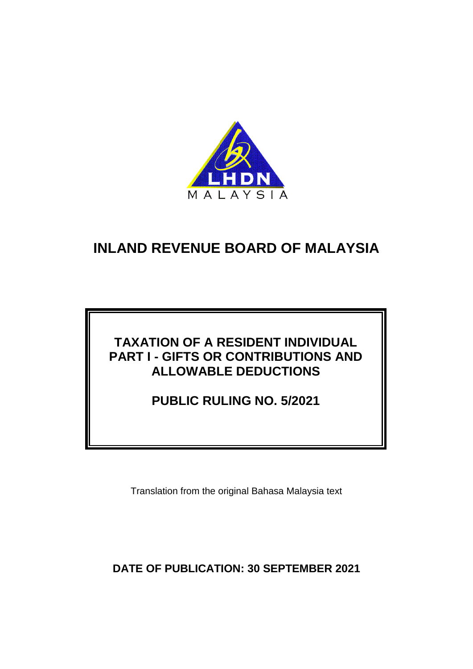

# **TAXATION OF A RESIDENT INDIVIDUAL PART I - GIFTS OR CONTRIBUTIONS AND ALLOWABLE DEDUCTIONS**

**PUBLIC RULING NO. 5/2021**

Translation from the original Bahasa Malaysia text

**DATE OF PUBLICATION: 30 SEPTEMBER 2021**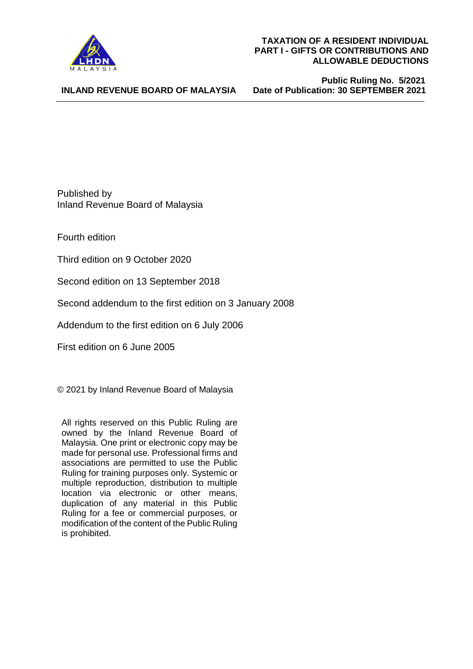

**INLAND REVENUE BOARD OF MALAYSIA**

 **Public Ruling No. 5/2021 Date of Publication: 30 SEPTEMBER 2021** 

Published by Inland Revenue Board of Malaysia

Fourth edition

Third edition on 9 October 2020

Second edition on 13 September 2018

Second addendum to the first edition on 3 January 2008

Addendum to the first edition on 6 July 2006

First edition on 6 June 2005

© 2021 by Inland Revenue Board of Malaysia

All rights reserved on this Public Ruling are owned by the Inland Revenue Board of Malaysia. One print or electronic copy may be made for personal use. Professional firms and associations are permitted to use the Public Ruling for training purposes only. Systemic or multiple reproduction, distribution to multiple location via electronic or other means, duplication of any material in this Public Ruling for a fee or commercial purposes, or modification of the content of the Public Ruling is prohibited.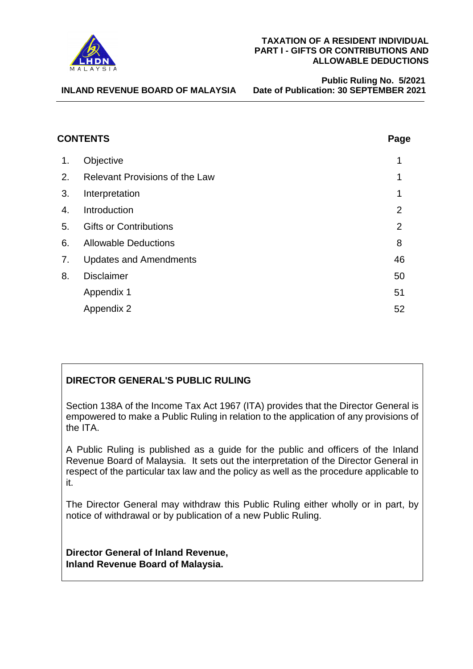

 **Public Ruling No. 5/2021 Date of Publication: 30 SEPTEMBER 2021** 

| <b>CONTENTS</b> |                                       | Page           |
|-----------------|---------------------------------------|----------------|
| 1.              | Objective                             | 1              |
| 2.              | <b>Relevant Provisions of the Law</b> | 1              |
| 3.              | Interpretation                        | 1              |
| 4.              | Introduction                          | $\overline{2}$ |
| 5.              | <b>Gifts or Contributions</b>         | $\overline{2}$ |
| 6.              | <b>Allowable Deductions</b>           | 8              |
| 7.              | <b>Updates and Amendments</b>         | 46             |
| 8.              | <b>Disclaimer</b>                     | 50             |
|                 | Appendix 1                            | 51             |
|                 | Appendix 2                            | 52             |

# **DIRECTOR GENERAL'S PUBLIC RULING**

Section 138A of the Income Tax Act 1967 (ITA) provides that the Director General is empowered to make a Public Ruling in relation to the application of any provisions of the ITA.

A Public Ruling is published as a guide for the public and officers of the Inland Revenue Board of Malaysia. It sets out the interpretation of the Director General in respect of the particular tax law and the policy as well as the procedure applicable to it.

The Director General may withdraw this Public Ruling either wholly or in part, by notice of withdrawal or by publication of a new Public Ruling.

**Director General of Inland Revenue, Inland Revenue Board of Malaysia.**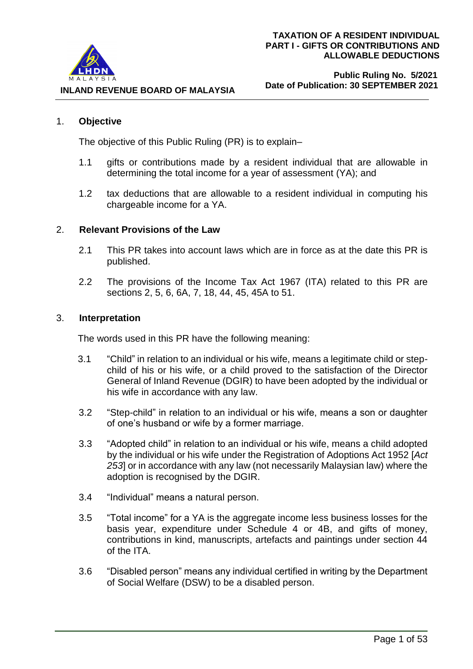

#### 1. **Objective**

The objective of this Public Ruling (PR) is to explain–

- 1.1 gifts or contributions made by a resident individual that are allowable in determining the total income for a year of assessment (YA); and
- 1.2 tax deductions that are allowable to a resident individual in computing his chargeable income for a YA.

#### 2. **Relevant Provisions of the Law**

- 2.1 This PR takes into account laws which are in force as at the date this PR is published.
- 2.2 The provisions of the Income Tax Act 1967 (ITA) related to this PR are sections 2, 5, 6, 6A, 7, 18, 44, 45, 45A to 51.

#### 3. **Interpretation**

The words used in this PR have the following meaning:

- 3.1 "Child" in relation to an individual or his wife, means a legitimate child or stepchild of his or his wife, or a child proved to the satisfaction of the Director General of Inland Revenue (DGIR) to have been adopted by the individual or his wife in accordance with any law.
- 3.2 "Step-child" in relation to an individual or his wife, means a son or daughter of one's husband or wife by a former marriage.
- 3.3 "Adopted child" in relation to an individual or his wife, means a child adopted by the individual or his wife under the Registration of Adoptions Act 1952 [*Act 253*] or in accordance with any law (not necessarily Malaysian law) where the adoption is recognised by the DGIR.
- 3.4 "Individual" means a natural person.
- 3.5 "Total income" for a YA is the aggregate income less business losses for the basis year, expenditure under Schedule 4 or 4B, and gifts of money, contributions in kind, manuscripts, artefacts and paintings under section 44 of the ITA.
- 3.6 "Disabled person" means any individual certified in writing by the Department of Social Welfare (DSW) to be a disabled person.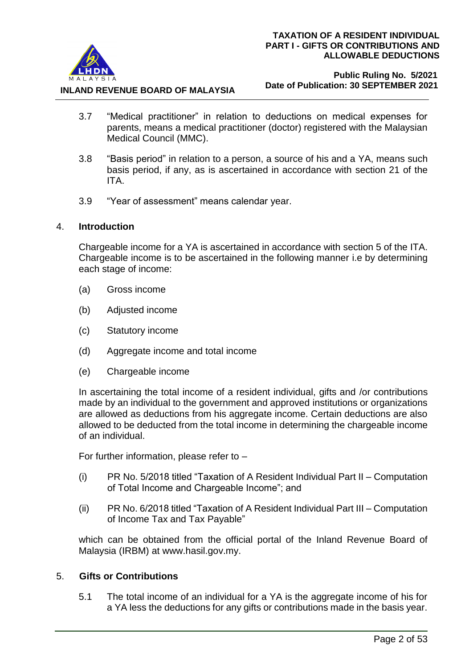

#### **Public Ruling No. 5/2021 Date of Publication: 30 SEPTEMBER 2021**

- 3.7 "Medical practitioner" in relation to deductions on medical expenses for parents, means a medical practitioner (doctor) registered with the Malaysian Medical Council (MMC).
- 3.8 "Basis period" in relation to a person, a source of his and a YA, means such basis period, if any, as is ascertained in accordance with section 21 of the ITA.
- 3.9 "Year of assessment" means calendar year.

# 4. **Introduction**

Chargeable income for a YA is ascertained in accordance with section 5 of the ITA. Chargeable income is to be ascertained in the following manner i.e by determining each stage of income:

- (a) Gross income
- (b) Adjusted income
- (c) Statutory income
- (d) Aggregate income and total income
- (e) Chargeable income

In ascertaining the total income of a resident individual, gifts and /or contributions made by an individual to the government and approved institutions or organizations are allowed as deductions from his aggregate income. Certain deductions are also allowed to be deducted from the total income in determining the chargeable income of an individual.

For further information, please refer to –

- (i) PR No. 5/2018 titled "Taxation of A Resident Individual Part II Computation of Total Income and Chargeable Income"; and
- (ii) PR No. 6/2018 titled "Taxation of A Resident Individual Part III Computation of Income Tax and Tax Payable"

which can be obtained from the official portal of the Inland Revenue Board of Malaysia (IRBM) at www.hasil.gov.my.

# 5. **Gifts or Contributions**

5.1 The total income of an individual for a YA is the aggregate income of his for a YA less the deductions for any gifts or contributions made in the basis year.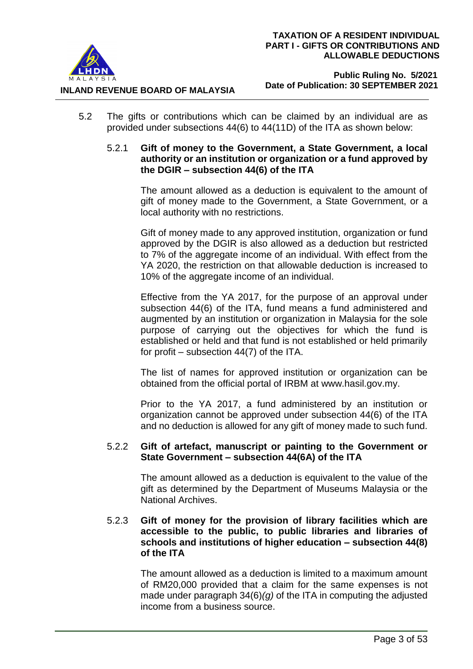

**INLAND REVENUE BOARD OF MALAYSIA**

- 5.2 The gifts or contributions which can be claimed by an individual are as provided under subsections 44(6) to 44(11D) of the ITA as shown below:
	- 5.2.1 **Gift of money to the Government, a State Government, a local authority or an institution or organization or a fund approved by the DGIR – subsection 44(6) of the ITA**

The amount allowed as a deduction is equivalent to the amount of gift of money made to the Government, a State Government, or a local authority with no restrictions.

Gift of money made to any approved institution, organization or fund approved by the DGIR is also allowed as a deduction but restricted to 7% of the aggregate income of an individual. With effect from the YA 2020, the restriction on that allowable deduction is increased to 10% of the aggregate income of an individual.

Effective from the YA 2017, for the purpose of an approval under subsection 44(6) of the ITA, fund means a fund administered and augmented by an institution or organization in Malaysia for the sole purpose of carrying out the objectives for which the fund is established or held and that fund is not established or held primarily for profit – subsection 44(7) of the ITA.

The list of names for approved institution or organization can be obtained from the official portal of IRBM at [www.hasil.gov.my.](http://www.hasil.gov.my/)

Prior to the YA 2017, a fund administered by an institution or organization cannot be approved under subsection 44(6) of the ITA and no deduction is allowed for any gift of money made to such fund.

# 5.2.2 **Gift of artefact, manuscript or painting to the Government or State Government – subsection 44(6A) of the ITA**

The amount allowed as a deduction is equivalent to the value of the gift as determined by the Department of Museums Malaysia or the National Archives.

# 5.2.3 **Gift of money for the provision of library facilities which are accessible to the public, to public libraries and libraries of schools and institutions of higher education – subsection 44(8) of the ITA**

The amount allowed as a deduction is limited to a maximum amount of RM20,000 provided that a claim for the same expenses is not made under paragraph 34(6)*(g)* of the ITA in computing the adjusted income from a business source.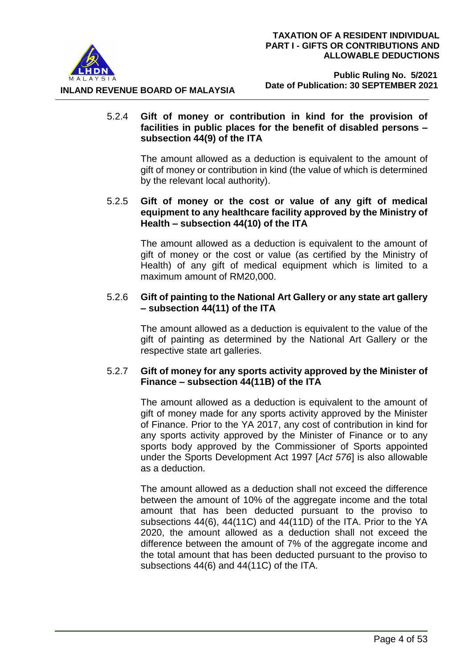

## 5.2.4 **Gift of money or contribution in kind for the provision of facilities in public places for the benefit of disabled persons – subsection 44(9) of the ITA**

The amount allowed as a deduction is equivalent to the amount of gift of money or contribution in kind (the value of which is determined by the relevant local authority).

# 5.2.5 **Gift of money or the cost or value of any gift of medical equipment to any healthcare facility approved by the Ministry of Health – subsection 44(10) of the ITA**

The amount allowed as a deduction is equivalent to the amount of gift of money or the cost or value (as certified by the Ministry of Health) of any gift of medical equipment which is limited to a maximum amount of RM20,000.

# 5.2.6 **Gift of painting to the National Art Gallery or any state art gallery – subsection 44(11) of the ITA**

The amount allowed as a deduction is equivalent to the value of the gift of painting as determined by the National Art Gallery or the respective state art galleries.

# 5.2.7 **Gift of money for any sports activity approved by the Minister of Finance – subsection 44(11B) of the ITA**

The amount allowed as a deduction is equivalent to the amount of gift of money made for any sports activity approved by the Minister of Finance. Prior to the YA 2017, any cost of contribution in kind for any sports activity approved by the Minister of Finance or to any sports body approved by the Commissioner of Sports appointed under the Sports Development Act 1997 [*Act 576*] is also allowable as a deduction.

The amount allowed as a deduction shall not exceed the difference between the amount of 10% of the aggregate income and the total amount that has been deducted pursuant to the proviso to subsections 44(6), 44(11C) and 44(11D) of the ITA. Prior to the YA 2020, the amount allowed as a deduction shall not exceed the difference between the amount of 7% of the aggregate income and the total amount that has been deducted pursuant to the proviso to subsections 44(6) and 44(11C) of the ITA.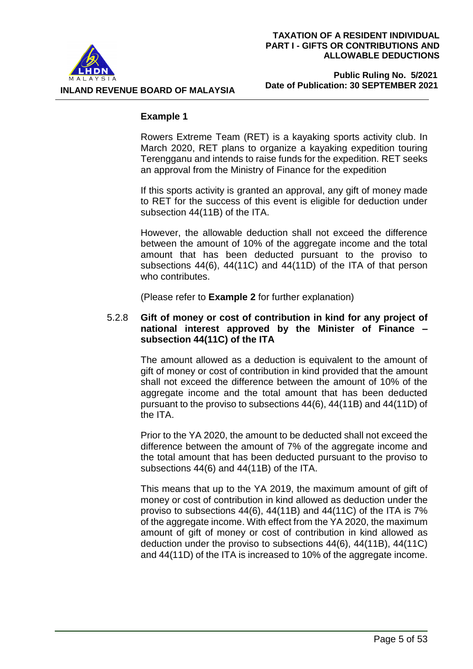



#### **Public Ruling No. 5/2021 Date of Publication: 30 SEPTEMBER 2021**

#### **Example 1**

Rowers Extreme Team (RET) is a kayaking sports activity club. In March 2020, RET plans to organize a kayaking expedition touring Terengganu and intends to raise funds for the expedition. RET seeks an approval from the Ministry of Finance for the expedition

If this sports activity is granted an approval, any gift of money made to RET for the success of this event is eligible for deduction under subsection 44(11B) of the ITA.

However, the allowable deduction shall not exceed the difference between the amount of 10% of the aggregate income and the total amount that has been deducted pursuant to the proviso to subsections 44(6), 44(11C) and 44(11D) of the ITA of that person who contributes.

(Please refer to **Example 2** for further explanation)

## 5.2.8 **Gift of money or cost of contribution in kind for any project of national interest approved by the Minister of Finance – subsection 44(11C) of the ITA**

The amount allowed as a deduction is equivalent to the amount of gift of money or cost of contribution in kind provided that the amount shall not exceed the difference between the amount of 10% of the aggregate income and the total amount that has been deducted pursuant to the proviso to subsections 44(6), 44(11B) and 44(11D) of the ITA.

Prior to the YA 2020, the amount to be deducted shall not exceed the difference between the amount of 7% of the aggregate income and the total amount that has been deducted pursuant to the proviso to subsections 44(6) and 44(11B) of the ITA.

This means that up to the YA 2019, the maximum amount of gift of money or cost of contribution in kind allowed as deduction under the proviso to subsections 44(6), 44(11B) and 44(11C) of the ITA is 7% of the aggregate income. With effect from the YA 2020, the maximum amount of gift of money or cost of contribution in kind allowed as deduction under the proviso to subsections 44(6), 44(11B), 44(11C) and 44(11D) of the ITA is increased to 10% of the aggregate income.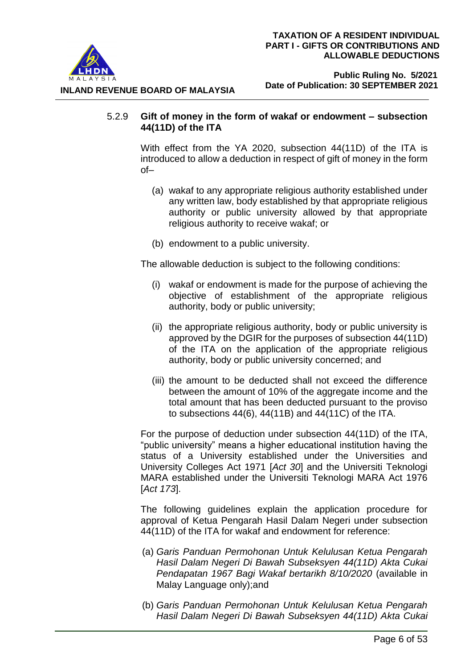

## 5.2.9 **Gift of money in the form of wakaf or endowment – subsection 44(11D) of the ITA**

With effect from the YA 2020, subsection 44(11D) of the ITA is introduced to allow a deduction in respect of gift of money in the form of–

- (a) wakaf to any appropriate religious authority established under any written law, body established by that appropriate religious authority or public university allowed by that appropriate religious authority to receive wakaf; or
- (b) endowment to a public university.

The allowable deduction is subject to the following conditions:

- (i) wakaf or endowment is made for the purpose of achieving the objective of establishment of the appropriate religious authority, body or public university;
- (ii) the appropriate religious authority, body or public university is approved by the DGIR for the purposes of subsection 44(11D) of the ITA on the application of the appropriate religious authority, body or public university concerned; and
- (iii) the amount to be deducted shall not exceed the difference between the amount of 10% of the aggregate income and the total amount that has been deducted pursuant to the proviso to subsections 44(6), 44(11B) and 44(11C) of the ITA.

For the purpose of deduction under subsection 44(11D) of the ITA, "public university" means a higher educational institution having the status of a University established under the Universities and University Colleges Act 1971 [*Act 30*] and the Universiti Teknologi MARA established under the Universiti Teknologi MARA Act 1976 [*Act 173*].

The following guidelines explain the application procedure for approval of Ketua Pengarah Hasil Dalam Negeri under subsection 44(11D) of the ITA for wakaf and endowment for reference:

- (a) *Garis Panduan Permohonan Untuk Kelulusan Ketua Pengarah Hasil Dalam Negeri Di Bawah Subseksyen 44(11D) Akta Cukai Pendapatan 1967 Bagi Wakaf bertarikh 8/10/2020* (available in Malay Language only);and
- (b) *Garis Panduan Permohonan Untuk Kelulusan Ketua Pengarah Hasil Dalam Negeri Di Bawah Subseksyen 44(11D) Akta Cukai*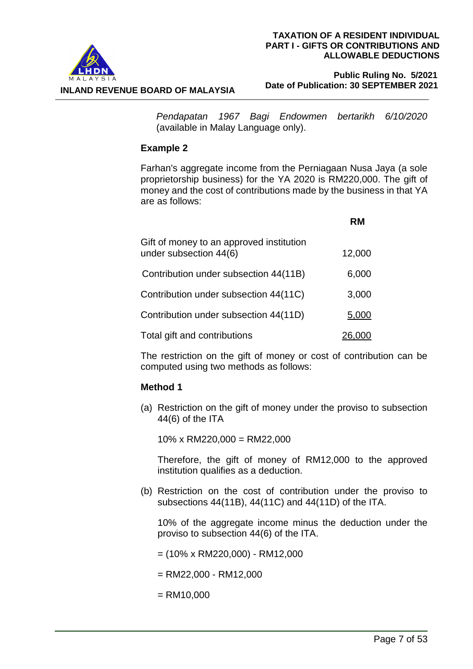

#### **Public Ruling No. 5/2021 Date of Publication: 30 SEPTEMBER 2021**

*Pendapatan 1967 Bagi Endowmen bertarikh 6/10/2020* (available in Malay Language only).

# **Example 2**

Farhan's aggregate income from the Perniagaan Nusa Jaya (a sole proprietorship business) for the YA 2020 is RM220,000. The gift of money and the cost of contributions made by the business in that YA are as follows:

|                                                                    | RM     |
|--------------------------------------------------------------------|--------|
| Gift of money to an approved institution<br>under subsection 44(6) | 12,000 |
| Contribution under subsection 44(11B)                              | 6,000  |
| Contribution under subsection 44(11C)                              | 3,000  |
| Contribution under subsection 44(11D)                              | 5,000  |
| Total gift and contributions                                       |        |

The restriction on the gift of money or cost of contribution can be computed using two methods as follows:

# **Method 1**

(a) Restriction on the gift of money under the proviso to subsection 44(6) of the ITA

 $10\%$  x RM220,000 = RM22,000

Therefore, the gift of money of RM12,000 to the approved institution qualifies as a deduction.

(b) Restriction on the cost of contribution under the proviso to subsections 44(11B), 44(11C) and 44(11D) of the ITA.

10% of the aggregate income minus the deduction under the proviso to subsection 44(6) of the ITA.

 $= (10\% \times RM220,000) - RM12,000$ 

 $=$  RM22,000 - RM12,000

 $=$  RM10,000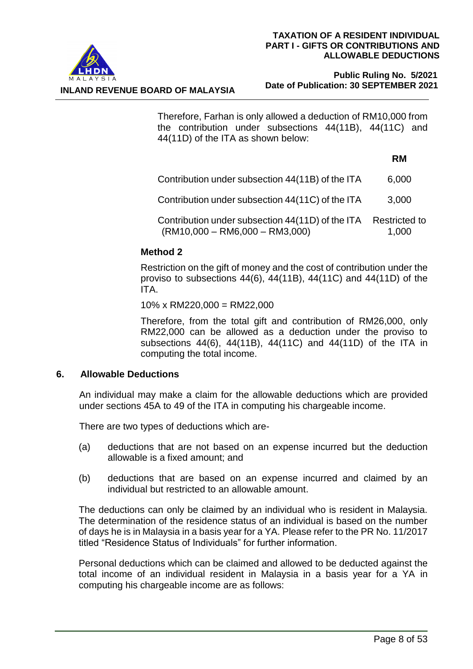

 **Public Ruling No. 5/2021 Date of Publication: 30 SEPTEMBER 2021**

Therefore, Farhan is only allowed a deduction of RM10,000 from the contribution under subsections 44(11B), 44(11C) and 44(11D) of the ITA as shown below:

## **RM**

| 6,000 |
|-------|
|       |

Contribution under subsection 44(11C) of the ITA 3,000

Contribution under subsection 44(11D) of the ITA (RM10,000 – RM6,000 – RM3,000) Restricted to 1,000

# **Method 2**

Restriction on the gift of money and the cost of contribution under the proviso to subsections 44(6), 44(11B), 44(11C) and 44(11D) of the ITA.

10% x RM220,000 = RM22,000

Therefore, from the total gift and contribution of RM26,000, only RM22,000 can be allowed as a deduction under the proviso to subsections 44(6), 44(11B), 44(11C) and 44(11D) of the ITA in computing the total income.

# **6. Allowable Deductions**

An individual may make a claim for the allowable deductions which are provided under sections 45A to 49 of the ITA in computing his chargeable income.

There are two types of deductions which are-

- (a) deductions that are not based on an expense incurred but the deduction allowable is a fixed amount; and
- (b) deductions that are based on an expense incurred and claimed by an individual but restricted to an allowable amount.

The deductions can only be claimed by an individual who is resident in Malaysia. The determination of the residence status of an individual is based on the number of days he is in Malaysia in a basis year for a YA. Please refer to the PR No. 11/2017 titled "Residence Status of Individuals" for further information.

Personal deductions which can be claimed and allowed to be deducted against the total income of an individual resident in Malaysia in a basis year for a YA in computing his chargeable income are as follows: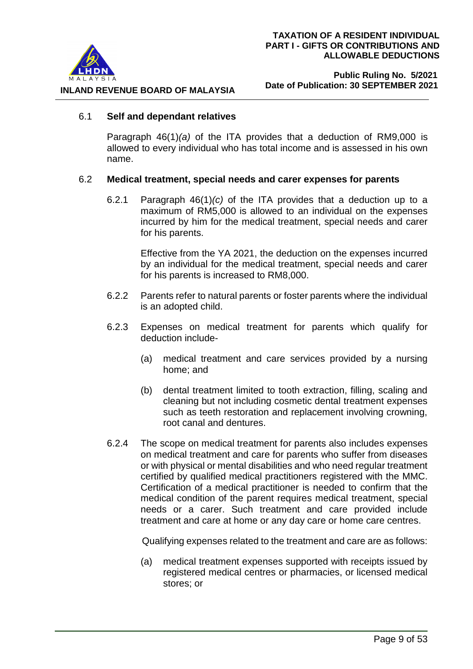

#### 6.1 **Self and dependant relatives**

Paragraph 46(1)*(a)* of the ITA provides that a deduction of RM9,000 is allowed to every individual who has total income and is assessed in his own name.

#### 6.2 **Medical treatment, special needs and carer expenses for parents**

6.2.1 Paragraph 46(1)*(c)* of the ITA provides that a deduction up to a maximum of RM5,000 is allowed to an individual on the expenses incurred by him for the medical treatment, special needs and carer for his parents.

> Effective from the YA 2021, the deduction on the expenses incurred by an individual for the medical treatment, special needs and carer for his parents is increased to RM8,000.

- 6.2.2 Parents refer to natural parents or foster parents where the individual is an adopted child.
- 6.2.3 Expenses on medical treatment for parents which qualify for deduction include-
	- (a) medical treatment and care services provided by a nursing home; and
	- (b) dental treatment limited to tooth extraction, filling, scaling and cleaning but not including cosmetic dental treatment expenses such as teeth restoration and replacement involving crowning, root canal and dentures.
- 6.2.4 The scope on medical treatment for parents also includes expenses on medical treatment and care for parents who suffer from diseases or with physical or mental disabilities and who need regular treatment certified by qualified medical practitioners registered with the MMC. Certification of a medical practitioner is needed to confirm that the medical condition of the parent requires medical treatment, special needs or a carer. Such treatment and care provided include treatment and care at home or any day care or home care centres.

Qualifying expenses related to the treatment and care are as follows:

(a) medical treatment expenses supported with receipts issued by registered medical centres or pharmacies, or licensed medical stores; or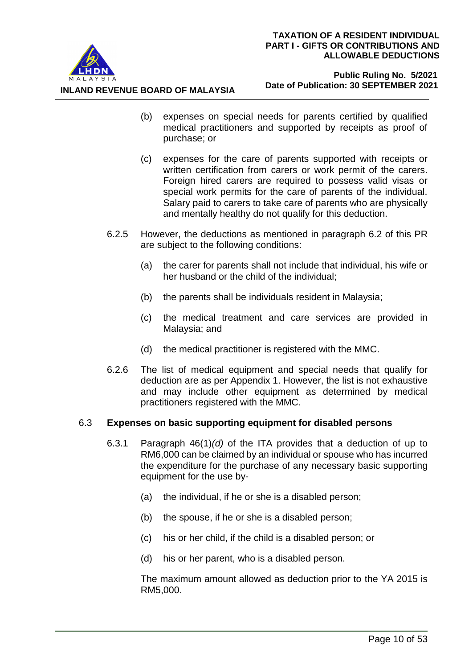

**INLAND REVENUE BOARD OF MALAYSIA**

- (b) expenses on special needs for parents certified by qualified medical practitioners and supported by receipts as proof of purchase; or
- (c) expenses for the care of parents supported with receipts or written certification from carers or work permit of the carers. Foreign hired carers are required to possess valid visas or special work permits for the care of parents of the individual. Salary paid to carers to take care of parents who are physically and mentally healthy do not qualify for this deduction.
- 6.2.5 However, the deductions as mentioned in paragraph 6.2 of this PR are subject to the following conditions:
	- (a) the carer for parents shall not include that individual, his wife or her husband or the child of the individual;
	- (b) the parents shall be individuals resident in Malaysia;
	- (c) the medical treatment and care services are provided in Malaysia; and
	- (d) the medical practitioner is registered with the MMC.
- 6.2.6 The list of medical equipment and special needs that qualify for deduction are as per Appendix 1. However, the list is not exhaustive and may include other equipment as determined by medical practitioners registered with the MMC.

#### 6.3 **Expenses on basic supporting equipment for disabled persons**

- 6.3.1 Paragraph 46(1)*(d)* of the ITA provides that a deduction of up to RM6,000 can be claimed by an individual or spouse who has incurred the expenditure for the purchase of any necessary basic supporting equipment for the use by-
	- (a) the individual, if he or she is a disabled person;
	- (b) the spouse, if he or she is a disabled person;
	- (c) his or her child, if the child is a disabled person; or
	- (d) his or her parent, who is a disabled person.

The maximum amount allowed as deduction prior to the YA 2015 is RM5,000.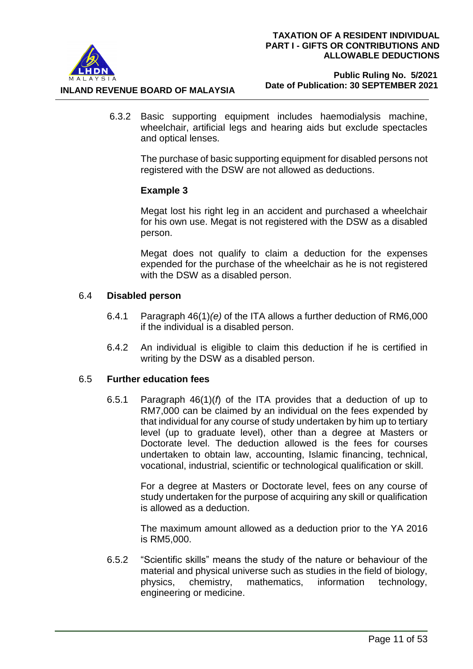

#### **Public Ruling No. 5/2021 Date of Publication: 30 SEPTEMBER 2021**

6.3.2 Basic supporting equipment includes haemodialysis machine, wheelchair, artificial legs and hearing aids but exclude spectacles and optical lenses.

The purchase of basic supporting equipment for disabled persons not registered with the DSW are not allowed as deductions.

# **Example 3**

Megat lost his right leg in an accident and purchased a wheelchair for his own use. Megat is not registered with the DSW as a disabled person.

Megat does not qualify to claim a deduction for the expenses expended for the purchase of the wheelchair as he is not registered with the DSW as a disabled person.

## 6.4 **Disabled person**

- 6.4.1 Paragraph 46(1)*(e)* of the ITA allows a further deduction of RM6,000 if the individual is a disabled person.
- 6.4.2 An individual is eligible to claim this deduction if he is certified in writing by the DSW as a disabled person.

# 6.5 **Further education fees**

6.5.1 Paragraph 46(1)(*f*) of the ITA provides that a deduction of up to RM7,000 can be claimed by an individual on the fees expended by that individual for any course of study undertaken by him up to tertiary level (up to graduate level), other than a degree at Masters or Doctorate level. The deduction allowed is the fees for courses undertaken to obtain law, accounting, Islamic financing, technical, vocational, industrial, scientific or technological qualification or skill.

> For a degree at Masters or Doctorate level, fees on any course of study undertaken for the purpose of acquiring any skill or qualification is allowed as a deduction.

> The maximum amount allowed as a deduction prior to the YA 2016 is RM5,000.

6.5.2 "Scientific skills" means the study of the nature or behaviour of the material and physical universe such as studies in the field of biology, physics, chemistry, mathematics, information technology, engineering or medicine.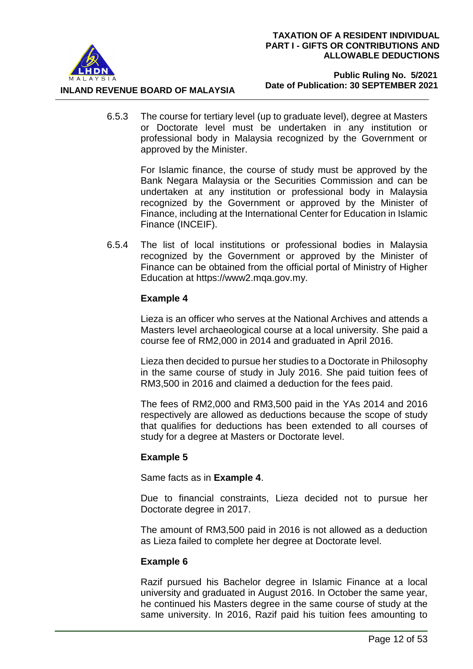

**INLAND REVENUE BOARD OF MALAYSIA**

6.5.3 The course for tertiary level (up to graduate level), degree at Masters or Doctorate level must be undertaken in any institution or professional body in Malaysia recognized by the Government or approved by the Minister.

> For Islamic finance, the course of study must be approved by the Bank Negara Malaysia or the Securities Commission and can be undertaken at any institution or professional body in Malaysia recognized by the Government or approved by the Minister of Finance, including at the International Center for Education in Islamic Finance (INCEIF).

6.5.4 The list of local institutions or professional bodies in Malaysia recognized by the Government or approved by the Minister of Finance can be obtained from the official portal of Ministry of Higher Education at https://www2.mqa.gov.my.

# **Example 4**

Lieza is an officer who serves at the National Archives and attends a Masters level archaeological course at a local university. She paid a course fee of RM2,000 in 2014 and graduated in April 2016.

Lieza then decided to pursue her studies to a Doctorate in Philosophy in the same course of study in July 2016. She paid tuition fees of RM3,500 in 2016 and claimed a deduction for the fees paid.

The fees of RM2,000 and RM3,500 paid in the YAs 2014 and 2016 respectively are allowed as deductions because the scope of study that qualifies for deductions has been extended to all courses of study for a degree at Masters or Doctorate level.

# **Example 5**

Same facts as in **Example 4**.

Due to financial constraints, Lieza decided not to pursue her Doctorate degree in 2017.

The amount of RM3,500 paid in 2016 is not allowed as a deduction as Lieza failed to complete her degree at Doctorate level.

# **Example 6**

Razif pursued his Bachelor degree in Islamic Finance at a local university and graduated in August 2016. In October the same year, he continued his Masters degree in the same course of study at the same university. In 2016, Razif paid his tuition fees amounting to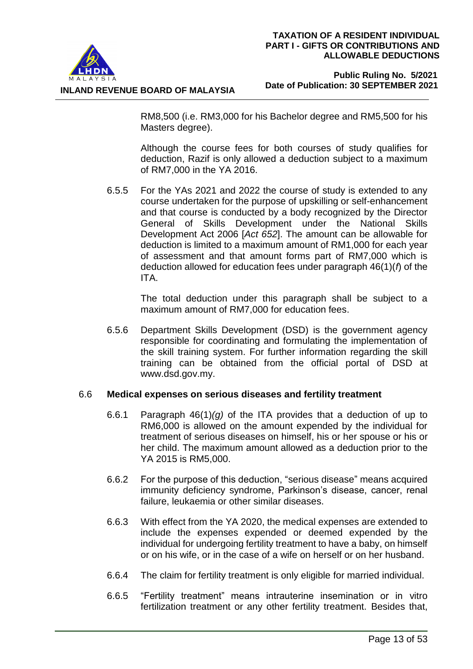

#### **Public Ruling No. 5/2021 Date of Publication: 30 SEPTEMBER 2021**

RM8,500 (i.e. RM3,000 for his Bachelor degree and RM5,500 for his Masters degree).

Although the course fees for both courses of study qualifies for deduction, Razif is only allowed a deduction subject to a maximum of RM7,000 in the YA 2016.

6.5.5 For the YAs 2021 and 2022 the course of study is extended to any course undertaken for the purpose of upskilling or self-enhancement and that course is conducted by a body recognized by the Director General of Skills Development under the National Skills Development Act 2006 [*Act 652*]. The amount can be allowable for deduction is limited to a maximum amount of RM1,000 for each year of assessment and that amount forms part of RM7,000 which is deduction allowed for education fees under paragraph 46(1)(*f*) of the ITA.

> The total deduction under this paragraph shall be subject to a maximum amount of RM7,000 for education fees.

6.5.6 Department Skills Development (DSD) is the government agency responsible for coordinating and formulating the implementation of the skill training system. For further information regarding the skill training can be obtained from the official portal of DSD at www.dsd.gov.my.

#### 6.6 **Medical expenses on serious diseases and fertility treatment**

- 6.6.1 Paragraph 46(1)*(g)* of the ITA provides that a deduction of up to RM6,000 is allowed on the amount expended by the individual for treatment of serious diseases on himself, his or her spouse or his or her child. The maximum amount allowed as a deduction prior to the YA 2015 is RM5,000.
- 6.6.2 For the purpose of this deduction, "serious disease" means acquired immunity deficiency syndrome, Parkinson's disease, cancer, renal failure, leukaemia or other similar diseases.
- 6.6.3 With effect from the YA 2020, the medical expenses are extended to include the expenses expended or deemed expended by the individual for undergoing fertility treatment to have a baby, on himself or on his wife, or in the case of a wife on herself or on her husband.
- 6.6.4 The claim for fertility treatment is only eligible for married individual.
- 6.6.5 "Fertility treatment" means intrauterine insemination or in vitro fertilization treatment or any other fertility treatment. Besides that,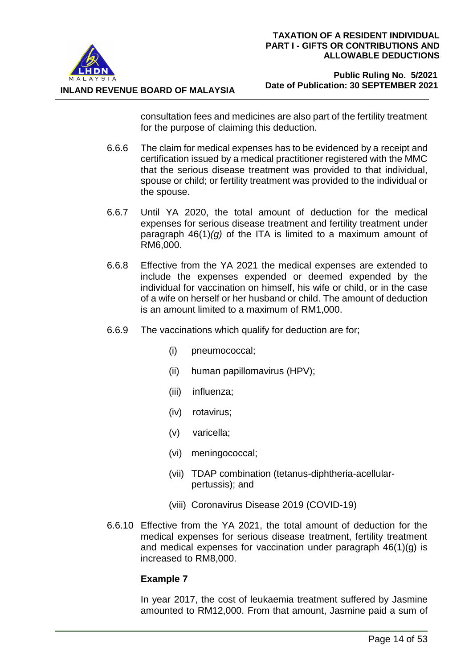

**INLAND REVENUE BOARD OF MALAYSIA**

consultation fees and medicines are also part of the fertility treatment for the purpose of claiming this deduction.

- 6.6.6 The claim for medical expenses has to be evidenced by a receipt and certification issued by a medical practitioner registered with the MMC that the serious disease treatment was provided to that individual, spouse or child; or fertility treatment was provided to the individual or the spouse.
- 6.6.7 Until YA 2020, the total amount of deduction for the medical expenses for serious disease treatment and fertility treatment under paragraph 46(1)*(g)* of the ITA is limited to a maximum amount of RM6,000.
- 6.6.8 Effective from the YA 2021 the medical expenses are extended to include the expenses expended or deemed expended by the individual for vaccination on himself, his wife or child, or in the case of a wife on herself or her husband or child. The amount of deduction is an amount limited to a maximum of RM1,000.
- 6.6.9 The vaccinations which qualify for deduction are for;
	- (i) pneumococcal;
	- (ii) human papillomavirus (HPV);
	- (iii) influenza;
	- (iv) rotavirus;
	- (v) varicella;
	- (vi) meningococcal;
	- (vii) TDAP combination (tetanus-diphtheria-acellularpertussis); and
	- (viii) Coronavirus Disease 2019 (COVID-19)
- 6.6.10 Effective from the YA 2021, the total amount of deduction for the medical expenses for serious disease treatment, fertility treatment and medical expenses for vaccination under paragraph 46(1)(g) is increased to RM8,000.

# **Example 7**

In year 2017, the cost of leukaemia treatment suffered by Jasmine amounted to RM12,000. From that amount, Jasmine paid a sum of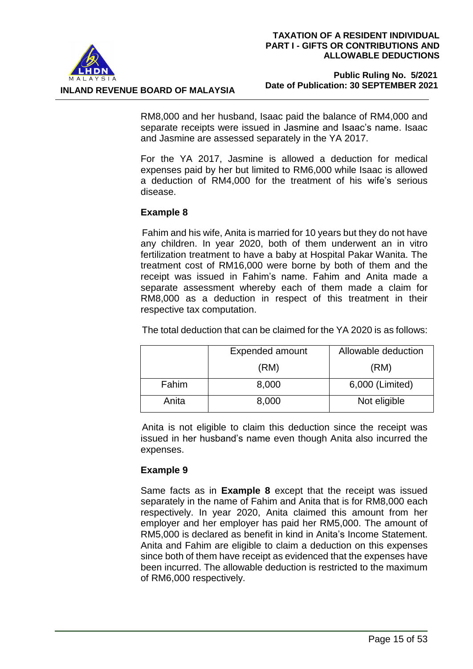

**INLAND REVENUE BOARD OF MALAYSIA**

RM8,000 and her husband, Isaac paid the balance of RM4,000 and separate receipts were issued in Jasmine and Isaac's name. Isaac and Jasmine are assessed separately in the YA 2017.

For the YA 2017, Jasmine is allowed a deduction for medical expenses paid by her but limited to RM6,000 while Isaac is allowed a deduction of RM4,000 for the treatment of his wife's serious disease.

# **Example 8**

Fahim and his wife, Anita is married for 10 years but they do not have any children. In year 2020, both of them underwent an in vitro fertilization treatment to have a baby at Hospital Pakar Wanita. The treatment cost of RM16,000 were borne by both of them and the receipt was issued in Fahim's name. Fahim and Anita made a separate assessment whereby each of them made a claim for RM8,000 as a deduction in respect of this treatment in their respective tax computation.

The total deduction that can be claimed for the YA 2020 is as follows:

|       | <b>Expended amount</b> | Allowable deduction |  |
|-------|------------------------|---------------------|--|
|       | (RM)                   | (RM)                |  |
| Fahim | 8,000                  | 6,000 (Limited)     |  |
| Anita | 8,000                  | Not eligible        |  |

Anita is not eligible to claim this deduction since the receipt was issued in her husband's name even though Anita also incurred the expenses.

# **Example 9**

Same facts as in **Example 8** except that the receipt was issued separately in the name of Fahim and Anita that is for RM8,000 each respectively. In year 2020, Anita claimed this amount from her employer and her employer has paid her RM5,000. The amount of RM5,000 is declared as benefit in kind in Anita's Income Statement. Anita and Fahim are eligible to claim a deduction on this expenses since both of them have receipt as evidenced that the expenses have been incurred. The allowable deduction is restricted to the maximum of RM6,000 respectively.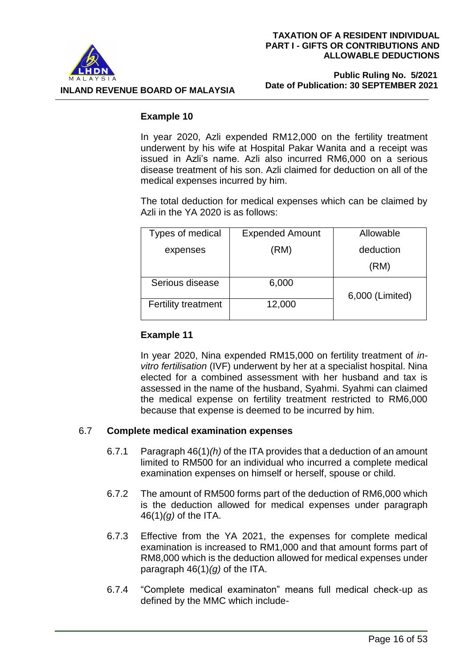

 **Public Ruling No. 5/2021 Date of Publication: 30 SEPTEMBER 2021**

# **Example 10**

In year 2020, Azli expended RM12,000 on the fertility treatment underwent by his wife at Hospital Pakar Wanita and a receipt was issued in Azli's name. Azli also incurred RM6,000 on a serious disease treatment of his son. Azli claimed for deduction on all of the medical expenses incurred by him.

The total deduction for medical expenses which can be claimed by Azli in the YA 2020 is as follows:

| Types of medical           | <b>Expended Amount</b> | Allowable       |  |
|----------------------------|------------------------|-----------------|--|
| expenses                   | (RM)                   | deduction       |  |
|                            |                        | (RM)            |  |
| Serious disease            | 6,000                  |                 |  |
| <b>Fertility treatment</b> | 12,000                 | 6,000 (Limited) |  |
|                            |                        |                 |  |

# **Example 11**

In year 2020, Nina expended RM15,000 on fertility treatment of *invitro fertilisation* (IVF) underwent by her at a specialist hospital. Nina elected for a combined assessment with her husband and tax is assessed in the name of the husband, Syahmi. Syahmi can claimed the medical expense on fertility treatment restricted to RM6,000 because that expense is deemed to be incurred by him.

# 6.7 **Complete medical examination expenses**

- 6.7.1 Paragraph 46(1)*(h)* of the ITA provides that a deduction of an amount limited to RM500 for an individual who incurred a complete medical examination expenses on himself or herself, spouse or child.
- 6.7.2 The amount of RM500 forms part of the deduction of RM6,000 which is the deduction allowed for medical expenses under paragraph 46(1)*(g)* of the ITA.
- 6.7.3 Effective from the YA 2021, the expenses for complete medical examination is increased to RM1,000 and that amount forms part of RM8,000 which is the deduction allowed for medical expenses under paragraph 46(1)*(g)* of the ITA.
- 6.7.4 "Complete medical examinaton" means full medical check-up as defined by the MMC which include-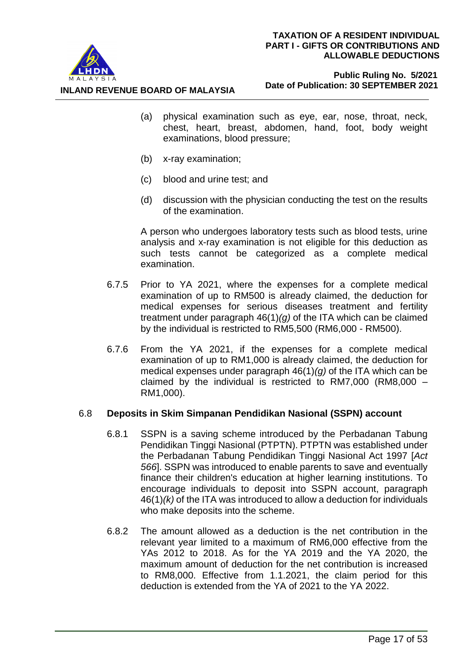

 **Public Ruling No. 5/2021 Date of Publication: 30 SEPTEMBER 2021**

- (a) physical examination such as eye, ear, nose, throat, neck, chest, heart, breast, abdomen, hand, foot, body weight examinations, blood pressure;
- (b) x-ray examination;

**INLAND REVENUE BOARD OF MALAYSIA**

- (c) blood and urine test; and
- (d) discussion with the physician conducting the test on the results of the examination.

A person who undergoes laboratory tests such as blood tests, urine analysis and x-ray examination is not eligible for this deduction as such tests cannot be categorized as a complete medical examination.

- 6.7.5 Prior to YA 2021, where the expenses for a complete medical examination of up to RM500 is already claimed, the deduction for medical expenses for serious diseases treatment and fertility treatment under paragraph 46(1)*(g)* of the ITA which can be claimed by the individual is restricted to RM5,500 (RM6,000 - RM500).
- 6.7.6 From the YA 2021, if the expenses for a complete medical examination of up to RM1,000 is already claimed, the deduction for medical expenses under paragraph 46(1)*(g)* of the ITA which can be claimed by the individual is restricted to RM7,000 (RM8,000 – RM1,000).

# 6.8 **Deposits in Skim Simpanan Pendidikan Nasional (SSPN) account**

- 6.8.1 SSPN is a saving scheme introduced by the Perbadanan Tabung Pendidikan Tinggi Nasional (PTPTN). PTPTN was established under the Perbadanan Tabung Pendidikan Tinggi Nasional Act 1997 [*Act 566*]. SSPN was introduced to enable parents to save and eventually finance their children's education at higher learning institutions. To encourage individuals to deposit into SSPN account, paragraph 46(1)*(k)* of the ITA was introduced to allow a deduction for individuals who make deposits into the scheme.
- 6.8.2 The amount allowed as a deduction is the net contribution in the relevant year limited to a maximum of RM6,000 effective from the YAs 2012 to 2018. As for the YA 2019 and the YA 2020, the maximum amount of deduction for the net contribution is increased to RM8,000. Effective from 1.1.2021, the claim period for this deduction is extended from the YA of 2021 to the YA 2022.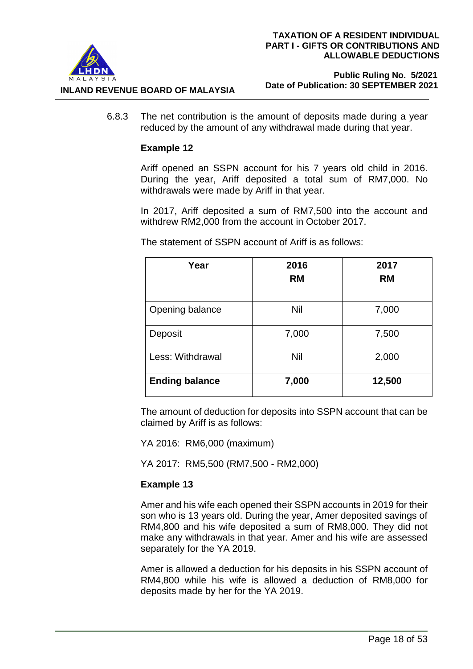

#### **Public Ruling No. 5/2021 Date of Publication: 30 SEPTEMBER 2021**

6.8.3 The net contribution is the amount of deposits made during a year reduced by the amount of any withdrawal made during that year.

## **Example 12**

Ariff opened an SSPN account for his 7 years old child in 2016. During the year, Ariff deposited a total sum of RM7,000. No withdrawals were made by Ariff in that year.

In 2017, Ariff deposited a sum of RM7,500 into the account and withdrew RM2,000 from the account in October 2017.

**Year 2016 RM 2017 RM** Opening balance  $\overline{\phantom{0}}$  Nil  $\overline{\phantom{0}}$  7,000 Deposit 1 7,000 7,500 Less: Withdrawal  $\overline{\phantom{a}}$  Nil 2,000 **Ending balance 7,000 12,500**

The statement of SSPN account of Ariff is as follows:

The amount of deduction for deposits into SSPN account that can be claimed by Ariff is as follows:

YA 2016: RM6,000 (maximum)

YA 2017: RM5,500 (RM7,500 - RM2,000)

# **Example 13**

Amer and his wife each opened their SSPN accounts in 2019 for their son who is 13 years old. During the year, Amer deposited savings of RM4,800 and his wife deposited a sum of RM8,000. They did not make any withdrawals in that year. Amer and his wife are assessed separately for the YA 2019.

Amer is allowed a deduction for his deposits in his SSPN account of RM4,800 while his wife is allowed a deduction of RM8,000 for deposits made by her for the YA 2019.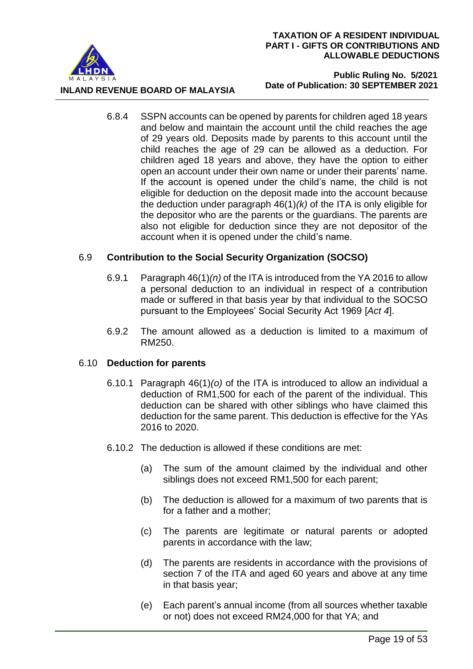

**INLAND REVENUE BOARD OF MALAYSIA**

 **Public Ruling No. 5/2021 Date of Publication: 30 SEPTEMBER 2021**

6.8.4 SSPN accounts can be opened by parents for children aged 18 years and below and maintain the account until the child reaches the age of 29 years old. Deposits made by parents to this account until the child reaches the age of 29 can be allowed as a deduction. For children aged 18 years and above, they have the option to either open an account under their own name or under their parents' name. If the account is opened under the child's name, the child is not eligible for deduction on the deposit made into the account because the deduction under paragraph 46(1)*(k)* of the ITA is only eligible for the depositor who are the parents or the guardians. The parents are also not eligible for deduction since they are not depositor of the account when it is opened under the child's name.

## 6.9 **Contribution to the Social Security Organization (SOCSO)**

- 6.9.1 Paragraph 46(1)*(n)* of the ITA is introduced from the YA 2016 to allow a personal deduction to an individual in respect of a contribution made or suffered in that basis year by that individual to the SOCSO pursuant to the Employees' Social Security Act 1969 [*Act 4*].
- 6.9.2 The amount allowed as a deduction is limited to a maximum of RM250.

#### 6.10 **Deduction for parents**

- 6.10.1 Paragraph 46(1)*(o)* of the ITA is introduced to allow an individual a deduction of RM1,500 for each of the parent of the individual. This deduction can be shared with other siblings who have claimed this deduction for the same parent. This deduction is effective for the YAs 2016 to 2020.
- 6.10.2 The deduction is allowed if these conditions are met:
	- (a) The sum of the amount claimed by the individual and other siblings does not exceed RM1,500 for each parent;
	- (b) The deduction is allowed for a maximum of two parents that is for a father and a mother;
	- (c) The parents are legitimate or natural parents or adopted parents in accordance with the law;
	- (d) The parents are residents in accordance with the provisions of section 7 of the ITA and aged 60 years and above at any time in that basis year;
	- (e) Each parent's annual income (from all sources whether taxable or not) does not exceed RM24,000 for that YA; and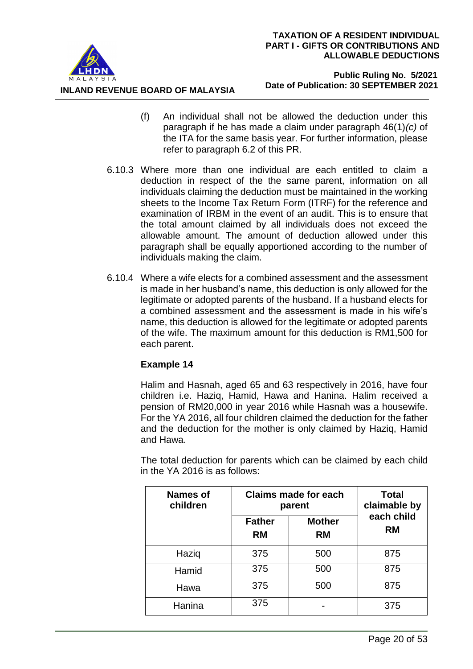

**INLAND REVENUE BOARD OF MALAYSIA**

- (f) An individual shall not be allowed the deduction under this paragraph if he has made a claim under paragraph 46(1)*(c)* of the ITA for the same basis year. For further information, please refer to paragraph 6.2 of this PR.
- 6.10.3 Where more than one individual are each entitled to claim a deduction in respect of the the same parent, information on all individuals claiming the deduction must be maintained in the working sheets to the Income Tax Return Form (ITRF) for the reference and examination of IRBM in the event of an audit. This is to ensure that the total amount claimed by all individuals does not exceed the allowable amount. The amount of deduction allowed under this paragraph shall be equally apportioned according to the number of individuals making the claim.
- 6.10.4 Where a wife elects for a combined assessment and the assessment is made in her husband's name, this deduction is only allowed for the legitimate or adopted parents of the husband. If a husband elects for a combined assessment and the assessment is made in his wife's name, this deduction is allowed for the legitimate or adopted parents of the wife. The maximum amount for this deduction is RM1,500 for each parent.

# **Example 14**

Halim and Hasnah, aged 65 and 63 respectively in 2016, have four children i.e. Haziq, Hamid, Hawa and Hanina. Halim received a pension of RM20,000 in year 2016 while Hasnah was a housewife. For the YA 2016, all four children claimed the deduction for the father and the deduction for the mother is only claimed by Haziq, Hamid and Hawa.

The total deduction for parents which can be claimed by each child in the YA 2016 is as follows:

| <b>Names of</b><br>children | <b>Claims made for each</b><br>parent |                            | <b>Total</b><br>claimable by |  |
|-----------------------------|---------------------------------------|----------------------------|------------------------------|--|
|                             | <b>Father</b><br><b>RM</b>            | <b>Mother</b><br><b>RM</b> | each child<br><b>RM</b>      |  |
| Haziq                       | 375                                   | 500                        | 875                          |  |
| Hamid                       | 375                                   | 500                        | 875                          |  |
| Hawa                        | 375                                   | 500                        | 875                          |  |
| Hanina                      | 375                                   |                            | 375                          |  |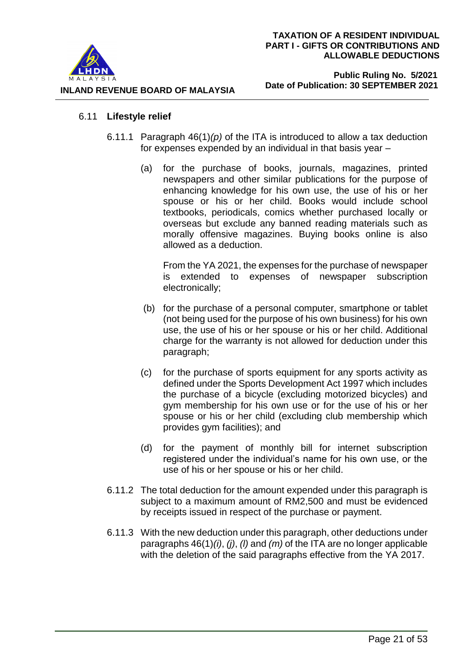

#### **Public Ruling No. 5/2021 Date of Publication: 30 SEPTEMBER 2021**

# 6.11 **Lifestyle relief**

- 6.11.1 Paragraph 46(1)*(p)* of the ITA is introduced to allow a tax deduction for expenses expended by an individual in that basis year –
	- (a) for the purchase of books, journals, magazines, printed newspapers and other similar publications for the purpose of enhancing knowledge for his own use, the use of his or her spouse or his or her child. Books would include school textbooks, periodicals, comics whether purchased locally or overseas but exclude any banned reading materials such as morally offensive magazines. Buying books online is also allowed as a deduction.

From the YA 2021, the expenses for the purchase of newspaper is extended to expenses of newspaper subscription electronically;

- (b) for the purchase of a personal computer, smartphone or tablet (not being used for the purpose of his own business) for his own use, the use of his or her spouse or his or her child. Additional charge for the warranty is not allowed for deduction under this paragraph;
- (c) for the purchase of sports equipment for any sports activity as defined under the Sports Development Act 1997 which includes the purchase of a bicycle (excluding motorized bicycles) and gym membership for his own use or for the use of his or her spouse or his or her child (excluding club membership which provides gym facilities); and
- (d) for the payment of monthly bill for internet subscription registered under the individual's name for his own use, or the use of his or her spouse or his or her child.
- 6.11.2 The total deduction for the amount expended under this paragraph is subject to a maximum amount of RM2,500 and must be evidenced by receipts issued in respect of the purchase or payment.
- 6.11.3 With the new deduction under this paragraph, other deductions under paragraphs 46(1)*(i)*, *(j)*, *(l)* and *(m)* of the ITA are no longer applicable with the deletion of the said paragraphs effective from the YA 2017.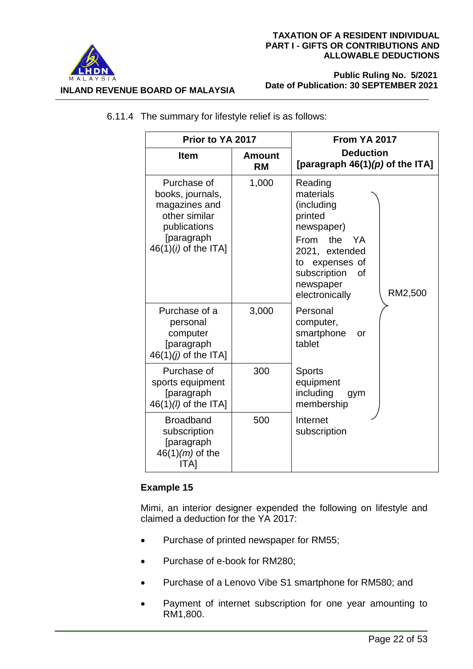

 **Public Ruling No. 5/2021 Date of Publication: 30 SEPTEMBER 2021**

| Prior to YA 2017                                                                                                          |                            | <b>From YA 2017</b>                                                                                                                                                                |  |
|---------------------------------------------------------------------------------------------------------------------------|----------------------------|------------------------------------------------------------------------------------------------------------------------------------------------------------------------------------|--|
| <b>Item</b>                                                                                                               | <b>Amount</b><br><b>RM</b> | <b>Deduction</b><br>[paragraph $46(1)(p)$ of the ITA]                                                                                                                              |  |
| Purchase of<br>books, journals,<br>magazines and<br>other similar<br>publications<br>[paragraph<br>$46(1)(i)$ of the ITA] | 1,000                      | Reading<br>materials<br>(including<br>printed<br>newspaper)<br>From the<br>YA.<br>2021, extended<br>to expenses of<br>subscription<br>οf<br>newspaper<br>RM2,500<br>electronically |  |
| Purchase of a<br>personal<br>computer<br>[paragraph<br>$46(1)(j)$ of the ITA]                                             | 3,000                      | Personal<br>computer,<br>smartphone<br>or<br>tablet                                                                                                                                |  |
| Purchase of<br>sports equipment<br>[paragraph<br>46(1)( <i>l</i> ) of the ITA]                                            | 300                        | <b>Sports</b><br>equipment<br>including<br>gym<br>membership                                                                                                                       |  |
| <b>Broadband</b><br>subscription<br>[paragraph<br>$46(1)(m)$ of the<br>ITA1                                               | 500                        | Internet<br>subscription                                                                                                                                                           |  |

6.11.4 The summary for lifestyle relief is as follows:

# **Example 15**

Mimi, an interior designer expended the following on lifestyle and claimed a deduction for the YA 2017:

- Purchase of printed newspaper for RM55;
- Purchase of e-book for RM280;
- Purchase of a Lenovo Vibe S1 smartphone for RM580; and
- Payment of internet subscription for one year amounting to RM1,800.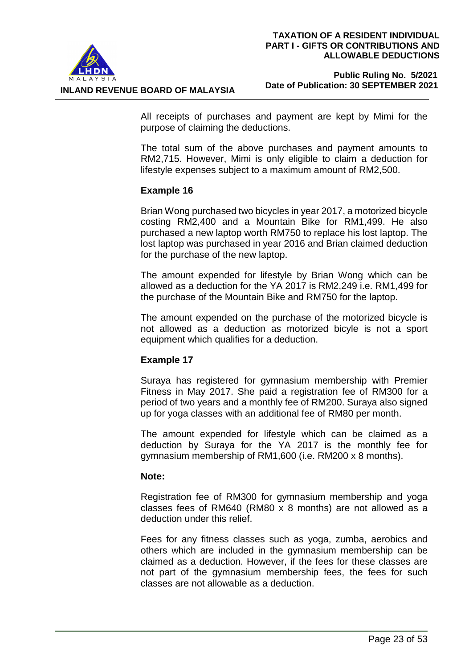

 **Public Ruling No. 5/2021 Date of Publication: 30 SEPTEMBER 2021**

All receipts of purchases and payment are kept by Mimi for the purpose of claiming the deductions.

The total sum of the above purchases and payment amounts to RM2,715. However, Mimi is only eligible to claim a deduction for lifestyle expenses subject to a maximum amount of RM2,500.

# **Example 16**

Brian Wong purchased two bicycles in year 2017, a motorized bicycle costing RM2,400 and a Mountain Bike for RM1,499. He also purchased a new laptop worth RM750 to replace his lost laptop. The lost laptop was purchased in year 2016 and Brian claimed deduction for the purchase of the new laptop.

The amount expended for lifestyle by Brian Wong which can be allowed as a deduction for the YA 2017 is RM2,249 i.e. RM1,499 for the purchase of the Mountain Bike and RM750 for the laptop.

The amount expended on the purchase of the motorized bicycle is not allowed as a deduction as motorized bicyle is not a sport equipment which qualifies for a deduction.

# **Example 17**

Suraya has registered for gymnasium membership with Premier Fitness in May 2017. She paid a registration fee of RM300 for a period of two years and a monthly fee of RM200. Suraya also signed up for yoga classes with an additional fee of RM80 per month.

The amount expended for lifestyle which can be claimed as a deduction by Suraya for the YA 2017 is the monthly fee for gymnasium membership of RM1,600 (i.e. RM200 x 8 months).

# **Note:**

Registration fee of RM300 for gymnasium membership and yoga classes fees of RM640 (RM80 x 8 months) are not allowed as a deduction under this relief.

Fees for any fitness classes such as yoga, zumba, aerobics and others which are included in the gymnasium membership can be claimed as a deduction. However, if the fees for these classes are not part of the gymnasium membership fees, the fees for such classes are not allowable as a deduction.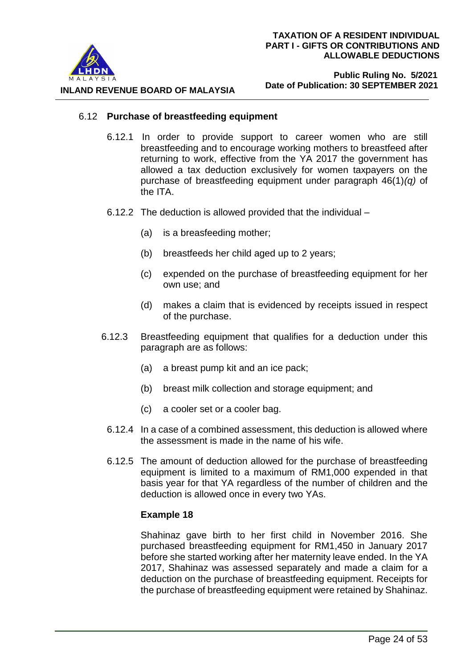

#### 6.12 **Purchase of breastfeeding equipment**

- 6.12.1 In order to provide support to career women who are still breastfeeding and to encourage working mothers to breastfeed after returning to work, effective from the YA 2017 the government has allowed a tax deduction exclusively for women taxpayers on the purchase of breastfeeding equipment under paragraph 46(1)*(q)* of the ITA.
- 6.12.2 The deduction is allowed provided that the individual
	- (a) is a breasfeeding mother;
	- (b) breastfeeds her child aged up to 2 years;
	- (c) expended on the purchase of breastfeeding equipment for her own use; and
	- (d) makes a claim that is evidenced by receipts issued in respect of the purchase.
- 6.12.3 Breastfeeding equipment that qualifies for a deduction under this paragraph are as follows:
	- (a) a breast pump kit and an ice pack;
	- (b) breast milk collection and storage equipment; and
	- (c) a cooler set or a cooler bag.
	- 6.12.4 In a case of a combined assessment, this deduction is allowed where the assessment is made in the name of his wife.
	- 6.12.5 The amount of deduction allowed for the purchase of breastfeeding equipment is limited to a maximum of RM1,000 expended in that basis year for that YA regardless of the number of children and the deduction is allowed once in every two YAs.

#### **Example 18**

Shahinaz gave birth to her first child in November 2016. She purchased breastfeeding equipment for RM1,450 in January 2017 before she started working after her maternity leave ended. In the YA 2017, Shahinaz was assessed separately and made a claim for a deduction on the purchase of breastfeeding equipment. Receipts for the purchase of breastfeeding equipment were retained by Shahinaz.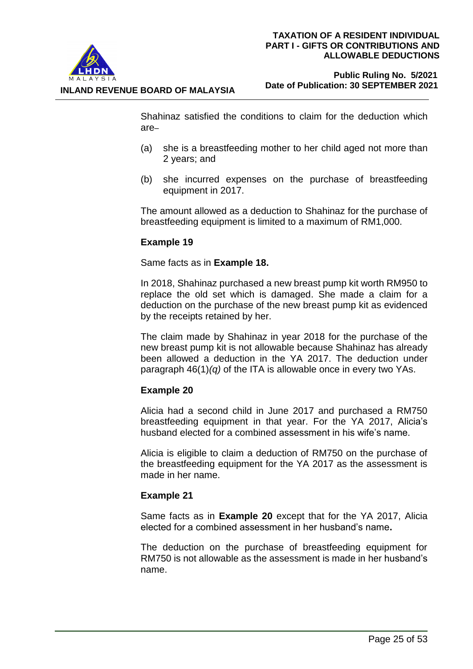

## **Public Ruling No. 5/2021 Date of Publication: 30 SEPTEMBER 2021**

Shahinaz satisfied the conditions to claim for the deduction which are–

- (a) she is a breastfeeding mother to her child aged not more than 2 years; and
- (b) she incurred expenses on the purchase of breastfeeding equipment in 2017.

The amount allowed as a deduction to Shahinaz for the purchase of breastfeeding equipment is limited to a maximum of RM1,000.

# **Example 19**

Same facts as in **Example 18.**

In 2018, Shahinaz purchased a new breast pump kit worth RM950 to replace the old set which is damaged. She made a claim for a deduction on the purchase of the new breast pump kit as evidenced by the receipts retained by her.

The claim made by Shahinaz in year 2018 for the purchase of the new breast pump kit is not allowable because Shahinaz has already been allowed a deduction in the YA 2017. The deduction under paragraph 46(1)*(q)* of the ITA is allowable once in every two YAs.

# **Example 20**

Alicia had a second child in June 2017 and purchased a RM750 breastfeeding equipment in that year. For the YA 2017, Alicia's husband elected for a combined assessment in his wife's name.

Alicia is eligible to claim a deduction of RM750 on the purchase of the breastfeeding equipment for the YA 2017 as the assessment is made in her name.

# **Example 21**

Same facts as in **Example 20** except that for the YA 2017, Alicia elected for a combined assessment in her husband's name**.**

The deduction on the purchase of breastfeeding equipment for RM750 is not allowable as the assessment is made in her husband's name.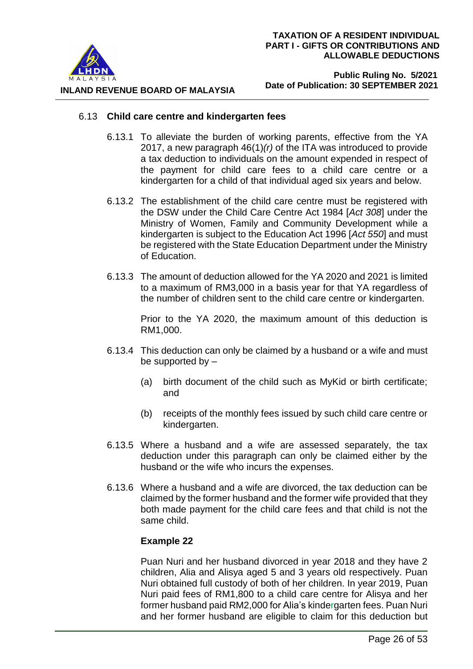

#### **Public Ruling No. 5/2021 Date of Publication: 30 SEPTEMBER 2021**

#### 6.13 **Child care centre and kindergarten fees**

- 6.13.1 To alleviate the burden of working parents, effective from the YA 2017, a new paragraph 46(1)*(r)* of the ITA was introduced to provide a tax deduction to individuals on the amount expended in respect of the payment for child care fees to a child care centre or a kindergarten for a child of that individual aged six years and below.
- 6.13.2 The establishment of the child care centre must be registered with the DSW under the Child Care Centre Act 1984 [*Act 308*] under the Ministry of Women, Family and Community Development while a kindergarten is subject to the Education Act 1996 [*Act 550*] and must be registered with the State Education Department under the Ministry of Education.
- 6.13.3 The amount of deduction allowed for the YA 2020 and 2021 is limited to a maximum of RM3,000 in a basis year for that YA regardless of the number of children sent to the child care centre or kindergarten.

Prior to the YA 2020, the maximum amount of this deduction is RM1,000.

- 6.13.4 This deduction can only be claimed by a husband or a wife and must be supported by –
	- (a) birth document of the child such as MyKid or birth certificate; and
	- (b) receipts of the monthly fees issued by such child care centre or kindergarten.
- 6.13.5 Where a husband and a wife are assessed separately, the tax deduction under this paragraph can only be claimed either by the husband or the wife who incurs the expenses.
- 6.13.6 Where a husband and a wife are divorced, the tax deduction can be claimed by the former husband and the former wife provided that they both made payment for the child care fees and that child is not the same child.

# **Example 22**

Puan Nuri and her husband divorced in year 2018 and they have 2 children, Alia and Alisya aged 5 and 3 years old respectively. Puan Nuri obtained full custody of both of her children. In year 2019, Puan Nuri paid fees of RM1,800 to a child care centre for Alisya and her former husband paid RM2,000 for Alia's kindergarten fees. Puan Nuri and her former husband are eligible to claim for this deduction but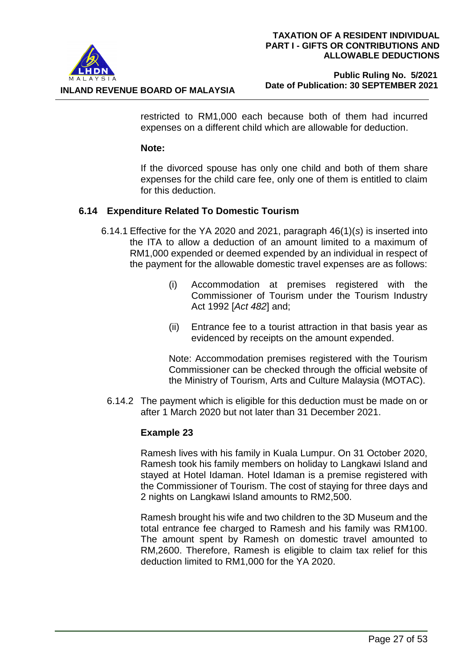

**INLAND REVENUE BOARD OF MALAYSIA**

restricted to RM1,000 each because both of them had incurred expenses on a different child which are allowable for deduction.

#### **Note:**

If the divorced spouse has only one child and both of them share expenses for the child care fee, only one of them is entitled to claim for this deduction.

## **6.14 Expenditure Related To Domestic Tourism**

- 6.14.1 Effective for the YA 2020 and 2021, paragraph 46(1)(*s*) is inserted into the ITA to allow a deduction of an amount limited to a maximum of RM1,000 expended or deemed expended by an individual in respect of the payment for the allowable domestic travel expenses are as follows:
	- (i) Accommodation at premises registered with the Commissioner of Tourism under the Tourism Industry Act 1992 [*Act 482*] and;
	- (ii) Entrance fee to a tourist attraction in that basis year as evidenced by receipts on the amount expended.

Note: Accommodation premises registered with the Tourism Commissioner can be checked through the official website of the Ministry of Tourism, Arts and Culture Malaysia (MOTAC).

6.14.2 The payment which is eligible for this deduction must be made on or after 1 March 2020 but not later than 31 December 2021.

#### **Example 23**

Ramesh lives with his family in Kuala Lumpur. On 31 October 2020, Ramesh took his family members on holiday to Langkawi Island and stayed at Hotel Idaman. Hotel Idaman is a premise registered with the Commissioner of Tourism. The cost of staying for three days and 2 nights on Langkawi Island amounts to RM2,500.

Ramesh brought his wife and two children to the 3D Museum and the total entrance fee charged to Ramesh and his family was RM100. The amount spent by Ramesh on domestic travel amounted to RM,2600. Therefore, Ramesh is eligible to claim tax relief for this deduction limited to RM1,000 for the YA 2020.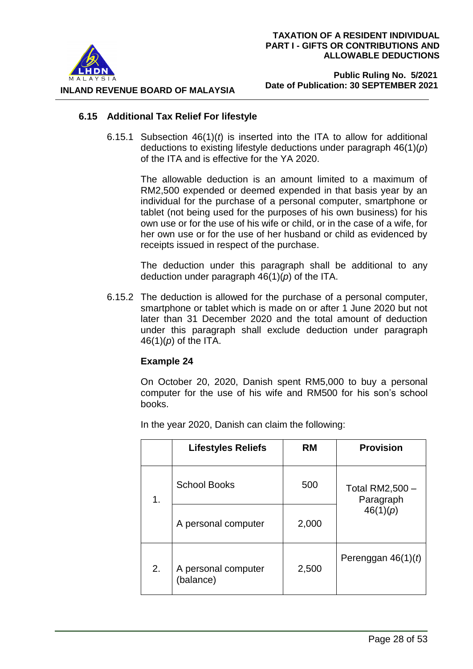

#### **Public Ruling No. 5/2021 Date of Publication: 30 SEPTEMBER 2021**

## **6.15 Additional Tax Relief For lifestyle**

6.15.1 Subsection 46(1)(*t*) is inserted into the ITA to allow for additional deductions to existing lifestyle deductions under paragraph 46(1)(*p*) of the ITA and is effective for the YA 2020.

> The allowable deduction is an amount limited to a maximum of RM2,500 expended or deemed expended in that basis year by an individual for the purchase of a personal computer, smartphone or tablet (not being used for the purposes of his own business) for his own use or for the use of his wife or child, or in the case of a wife, for her own use or for the use of her husband or child as evidenced by receipts issued in respect of the purchase.

> The deduction under this paragraph shall be additional to any deduction under paragraph 46(1)(*p*) of the ITA.

6.15.2 The deduction is allowed for the purchase of a personal computer, smartphone or tablet which is made on or after 1 June 2020 but not later than 31 December 2020 and the total amount of deduction under this paragraph shall exclude deduction under paragraph 46(1)(*p*) of the ITA.

# **Example 24**

On October 20, 2020, Danish spent RM5,000 to buy a personal computer for the use of his wife and RM500 for his son's school books.

In the year 2020, Danish can claim the following:

|    | <b>Lifestyles Reliefs</b>        | RM    | <b>Provision</b>             |
|----|----------------------------------|-------|------------------------------|
| 1. | <b>School Books</b>              | 500   | Total RM2,500 -<br>Paragraph |
|    | A personal computer              | 2,000 | 46(1)(p)                     |
| 2. | A personal computer<br>(balance) | 2,500 | Perenggan $46(1)(t)$         |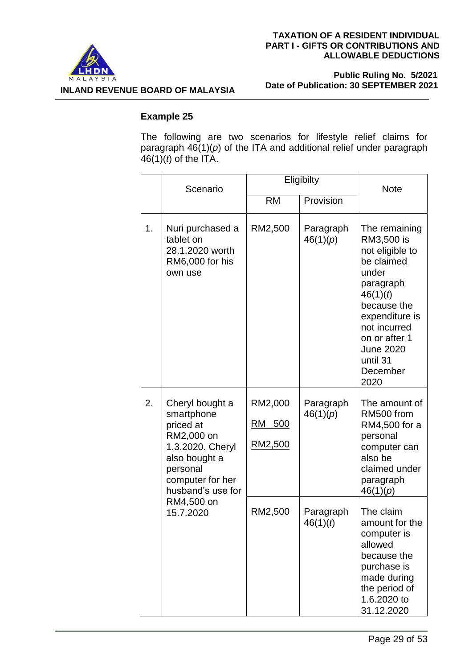

 **Public Ruling No. 5/2021 Date of Publication: 30 SEPTEMBER 2021**

**INLAND REVENUE BOARD OF MALAYSIA**

## **Example 25**

The following are two scenarios for lifestyle relief claims for paragraph 46(1)(*p*) of the ITA and additional relief under paragraph  $46(1)(t)$  of the ITA.

|    | Scenario                                                                                                                                           | Eligibilty                                 |                       | <b>Note</b>                                                                                                                                                                                                          |
|----|----------------------------------------------------------------------------------------------------------------------------------------------------|--------------------------------------------|-----------------------|----------------------------------------------------------------------------------------------------------------------------------------------------------------------------------------------------------------------|
|    |                                                                                                                                                    | <b>RM</b>                                  | Provision             |                                                                                                                                                                                                                      |
| 1. | Nuri purchased a<br>tablet on<br>28.1.2020 worth<br>RM6,000 for his<br>own use                                                                     | RM2,500                                    | Paragraph<br>46(1)(p) | The remaining<br>RM3,500 is<br>not eligible to<br>be claimed<br>under<br>paragraph<br>46(1)(t)<br>because the<br>expenditure is<br>not incurred<br>on or after 1<br><b>June 2020</b><br>until 31<br>December<br>2020 |
| 2. | Cheryl bought a<br>smartphone<br>priced at<br>RM2,000 on<br>1.3.2020. Cheryl<br>also bought a<br>personal<br>computer for her<br>husband's use for | RM2,000<br><u>RM 500</u><br><u>RM2,500</u> | Paragraph<br>46(1)(p) | The amount of<br>RM500 from<br>RM4,500 for a<br>personal<br>computer can<br>also be<br>claimed under<br>paragraph<br>46(1)(p)                                                                                        |
|    | RM4,500 on<br>15.7.2020                                                                                                                            | RM2,500                                    | Paragraph<br>46(1)(t) | The claim<br>amount for the<br>computer is<br>allowed<br>because the<br>purchase is<br>made during<br>the period of<br>1.6.2020 to<br>31.12.2020                                                                     |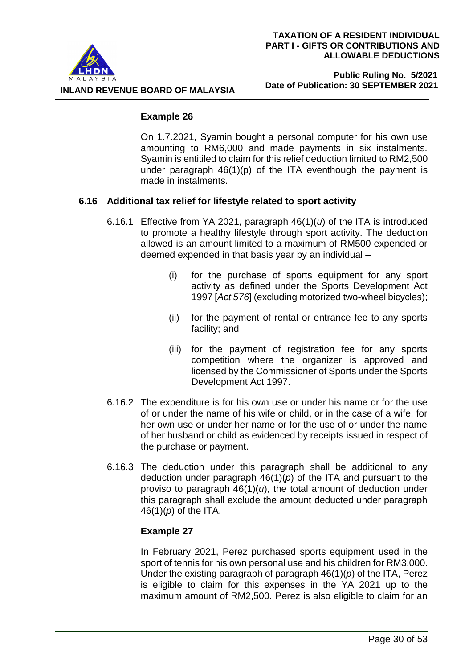

#### **Public Ruling No. 5/2021 Date of Publication: 30 SEPTEMBER 2021**

# **Example 26**

On 1.7.2021, Syamin bought a personal computer for his own use amounting to RM6,000 and made payments in six instalments. Syamin is entitiled to claim for this relief deduction limited to RM2,500 under paragraph  $46(1)(p)$  of the ITA eventhough the payment is made in instalments.

# **6.16 Additional tax relief for lifestyle related to sport activity**

- 6.16.1 Effective from YA 2021, paragraph 46(1)(*u*) of the ITA is introduced to promote a healthy lifestyle through sport activity. The deduction allowed is an amount limited to a maximum of RM500 expended or deemed expended in that basis year by an individual –
	- (i) for the purchase of sports equipment for any sport activity as defined under the Sports Development Act 1997 [*Act 576*] (excluding motorized two-wheel bicycles);
	- (ii) for the payment of rental or entrance fee to any sports facility; and
	- (iii) for the payment of registration fee for any sports competition where the organizer is approved and licensed by the Commissioner of Sports under the Sports Development Act 1997.
- 6.16.2 The expenditure is for his own use or under his name or for the use of or under the name of his wife or child, or in the case of a wife, for her own use or under her name or for the use of or under the name of her husband or child as evidenced by receipts issued in respect of the purchase or payment.
- 6.16.3 The deduction under this paragraph shall be additional to any deduction under paragraph  $46(1)(p)$  of the ITA and pursuant to the proviso to paragraph  $46(1)(u)$ , the total amount of deduction under this paragraph shall exclude the amount deducted under paragraph 46(1)(*p*) of the ITA.

# **Example 27**

In February 2021, Perez purchased sports equipment used in the sport of tennis for his own personal use and his children for RM3,000. Under the existing paragraph of paragraph 46(1)(*p*) of the ITA, Perez is eligible to claim for this expenses in the YA 2021 up to the maximum amount of RM2,500. Perez is also eligible to claim for an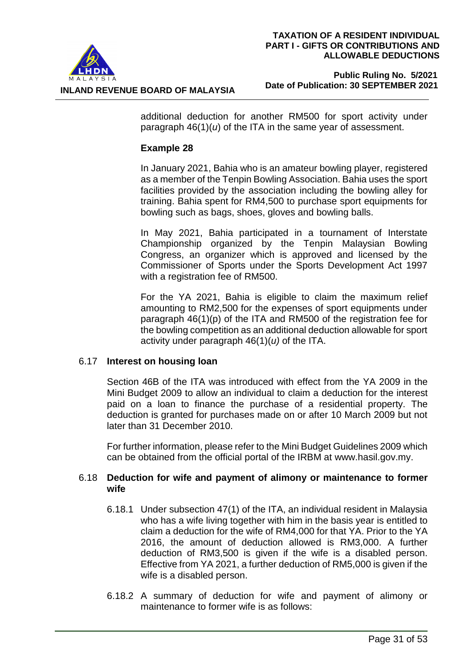

additional deduction for another RM500 for sport activity under paragraph 46(1)(*u*) of the ITA in the same year of assessment.

## **Example 28**

In January 2021, Bahia who is an amateur bowling player, registered as a member of the Tenpin Bowling Association. Bahia uses the sport facilities provided by the association including the bowling alley for training. Bahia spent for RM4,500 to purchase sport equipments for bowling such as bags, shoes, gloves and bowling balls.

In May 2021, Bahia participated in a tournament of Interstate Championship organized by the Tenpin Malaysian Bowling Congress, an organizer which is approved and licensed by the Commissioner of Sports under the Sports Development Act 1997 with a registration fee of RM500.

For the YA 2021, Bahia is eligible to claim the maximum relief amounting to RM2,500 for the expenses of sport equipments under paragraph 46(1)(p) of the ITA and RM500 of the registration fee for the bowling competition as an additional deduction allowable for sport activity under paragraph 46(1)(*u)* of the ITA.

#### 6.17 **Interest on housing loan**

Section 46B of the ITA was introduced with effect from the YA 2009 in the Mini Budget 2009 to allow an individual to claim a deduction for the interest paid on a loan to finance the purchase of a residential property. The deduction is granted for purchases made on or after 10 March 2009 but not later than 31 December 2010.

For further information, please refer to the Mini Budget Guidelines 2009 which can be obtained from the official portal of the IRBM at [www.hasil.gov.my.](http://www.hasil.gov.my/)

## 6.18 **Deduction for wife and payment of alimony or maintenance to former wife**

- 6.18.1 Under subsection 47(1) of the ITA, an individual resident in Malaysia who has a wife living together with him in the basis year is entitled to claim a deduction for the wife of RM4,000 for that YA. Prior to the YA 2016, the amount of deduction allowed is RM3,000. A further deduction of RM3,500 is given if the wife is a disabled person. Effective from YA 2021, a further deduction of RM5,000 is given if the wife is a disabled person.
- 6.18.2 A summary of deduction for wife and payment of alimony or maintenance to former wife is as follows: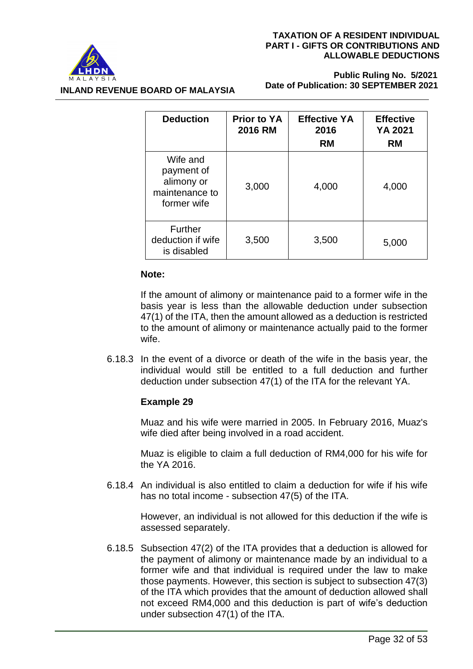

 **Public Ruling No. 5/2021 Date of Publication: 30 SEPTEMBER 2021**

| <b>Deduction</b>                                                      | <b>Prior to YA</b><br><b>2016 RM</b> | <b>Effective YA</b><br>2016<br><b>RM</b> | <b>Effective</b><br><b>YA 2021</b><br><b>RM</b> |
|-----------------------------------------------------------------------|--------------------------------------|------------------------------------------|-------------------------------------------------|
| Wife and<br>payment of<br>alimony or<br>maintenance to<br>former wife | 3,000                                | 4,000                                    | 4,000                                           |
| Further<br>deduction if wife<br>is disabled                           | 3,500                                | 3,500                                    | 5,000                                           |

#### **Note:**

**INLAND REVENUE BOARD OF MALAYSIA**

If the amount of alimony or maintenance paid to a former wife in the basis year is less than the allowable deduction under subsection 47(1) of the ITA, then the amount allowed as a deduction is restricted to the amount of alimony or maintenance actually paid to the former wife.

6.18.3 In the event of a divorce or death of the wife in the basis year, the individual would still be entitled to a full deduction and further deduction under subsection 47(1) of the ITA for the relevant YA.

# **Example 29**

Muaz and his wife were married in 2005. In February 2016, Muaz's wife died after being involved in a road accident.

Muaz is eligible to claim a full deduction of RM4,000 for his wife for the YA 2016.

6.18.4 An individual is also entitled to claim a deduction for wife if his wife has no total income - subsection 47(5) of the ITA.

> However, an individual is not allowed for this deduction if the wife is assessed separately.

6.18.5 Subsection 47(2) of the ITA provides that a deduction is allowed for the payment of alimony or maintenance made by an individual to a former wife and that individual is required under the law to make those payments. However, this section is subject to subsection 47(3) of the ITA which provides that the amount of deduction allowed shall not exceed RM4,000 and this deduction is part of wife's deduction under subsection 47(1) of the ITA.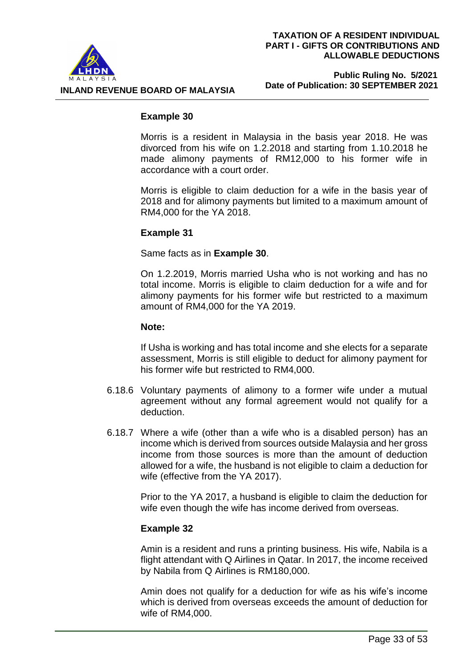

#### **Public Ruling No. 5/2021 Date of Publication: 30 SEPTEMBER 2021**

#### **Example 30**

Morris is a resident in Malaysia in the basis year 2018. He was divorced from his wife on 1.2.2018 and starting from 1.10.2018 he made alimony payments of RM12,000 to his former wife in accordance with a court order.

Morris is eligible to claim deduction for a wife in the basis year of 2018 and for alimony payments but limited to a maximum amount of RM4,000 for the YA 2018.

## **Example 31**

Same facts as in **Example 30**.

On 1.2.2019, Morris married Usha who is not working and has no total income. Morris is eligible to claim deduction for a wife and for alimony payments for his former wife but restricted to a maximum amount of RM4,000 for the YA 2019.

#### **Note:**

 If Usha is working and has total income and she elects for a separate assessment, Morris is still eligible to deduct for alimony payment for his former wife but restricted to RM4,000.

- 6.18.6 Voluntary payments of alimony to a former wife under a mutual agreement without any formal agreement would not qualify for a deduction.
- 6.18.7 Where a wife (other than a wife who is a disabled person) has an income which is derived from sources outside Malaysia and her gross income from those sources is more than the amount of deduction allowed for a wife, the husband is not eligible to claim a deduction for wife (effective from the YA 2017).

Prior to the YA 2017, a husband is eligible to claim the deduction for wife even though the wife has income derived from overseas.

#### **Example 32**

Amin is a resident and runs a printing business. His wife, Nabila is a flight attendant with Q Airlines in Qatar. In 2017, the income received by Nabila from Q Airlines is RM180,000.

Amin does not qualify for a deduction for wife as his wife's income which is derived from overseas exceeds the amount of deduction for wife of RM4,000.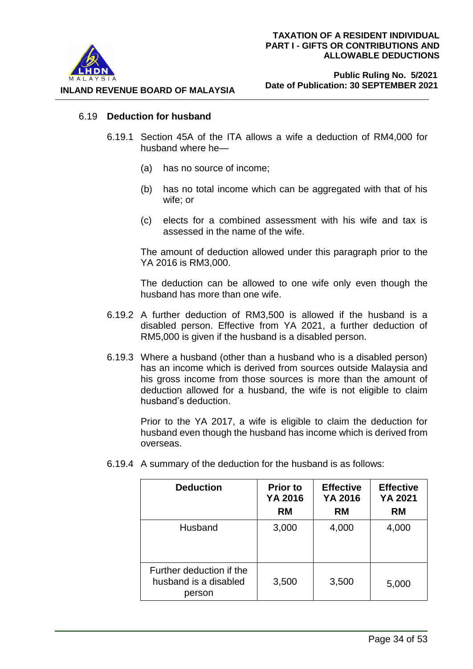

## 6.19 **Deduction for husband**

- 6.19.1 Section 45A of the ITA allows a wife a deduction of RM4,000 for husband where he—
	- (a) has no source of income;
	- (b) has no total income which can be aggregated with that of his wife; or
	- (c) elects for a combined assessment with his wife and tax is assessed in the name of the wife.

The amount of deduction allowed under this paragraph prior to the YA 2016 is RM3,000.

The deduction can be allowed to one wife only even though the husband has more than one wife.

- 6.19.2 A further deduction of RM3,500 is allowed if the husband is a disabled person. Effective from YA 2021, a further deduction of RM5,000 is given if the husband is a disabled person.
- 6.19.3 Where a husband (other than a husband who is a disabled person) has an income which is derived from sources outside Malaysia and his gross income from those sources is more than the amount of deduction allowed for a husband, the wife is not eligible to claim husband's deduction.

Prior to the YA 2017, a wife is eligible to claim the deduction for husband even though the husband has income which is derived from overseas.

| <b>Deduction</b>                                            | <b>Prior to</b><br>YA 2016<br><b>RM</b> | <b>Effective</b><br>YA 2016<br><b>RM</b> | <b>Effective</b><br>YA 2021<br><b>RM</b> |
|-------------------------------------------------------------|-----------------------------------------|------------------------------------------|------------------------------------------|
| Husband                                                     | 3,000                                   | 4,000                                    | 4,000                                    |
| Further deduction if the<br>husband is a disabled<br>person | 3,500                                   | 3,500                                    | 5,000                                    |

6.19.4 A summary of the deduction for the husband is as follows: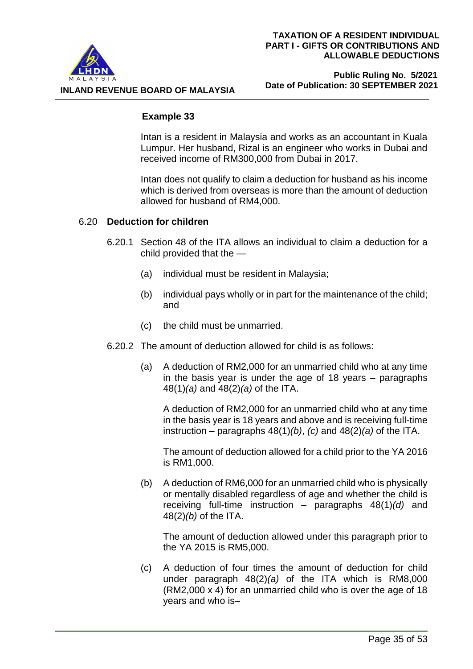

## **Public Ruling No. 5/2021 Date of Publication: 30 SEPTEMBER 2021**

# **Example 33**

Intan is a resident in Malaysia and works as an accountant in Kuala Lumpur. Her husband, Rizal is an engineer who works in Dubai and received income of RM300,000 from Dubai in 2017.

Intan does not qualify to claim a deduction for husband as his income which is derived from overseas is more than the amount of deduction allowed for husband of RM4,000.

# 6.20 **Deduction for children**

- 6.20.1 Section 48 of the ITA allows an individual to claim a deduction for a child provided that the —
	- (a) individual must be resident in Malaysia;
	- (b) individual pays wholly or in part for the maintenance of the child; and
	- (c) the child must be unmarried.
- 6.20.2 The amount of deduction allowed for child is as follows:
	- (a) A deduction of RM2,000 for an unmarried child who at any time in the basis year is under the age of 18 years – paragraphs 48(1)*(a)* and 48(2)*(a)* of the ITA.

A deduction of RM2,000 for an unmarried child who at any time in the basis year is 18 years and above and is receiving full-time instruction – paragraphs 48(1)*(b)*, *(c)* and 48(2)*(a)* of the ITA.

The amount of deduction allowed for a child prior to the YA 2016 is RM1,000.

(b) A deduction of RM6,000 for an unmarried child who is physically or mentally disabled regardless of age and whether the child is receiving full-time instruction – paragraphs 48(1)*(d)* and 48(2)*(b)* of the ITA.

The amount of deduction allowed under this paragraph prior to the YA 2015 is RM5,000.

(c) A deduction of four times the amount of deduction for child under paragraph 48(2)*(a)* of the ITA which is RM8,000 (RM2,000 x 4) for an unmarried child who is over the age of 18 years and who is–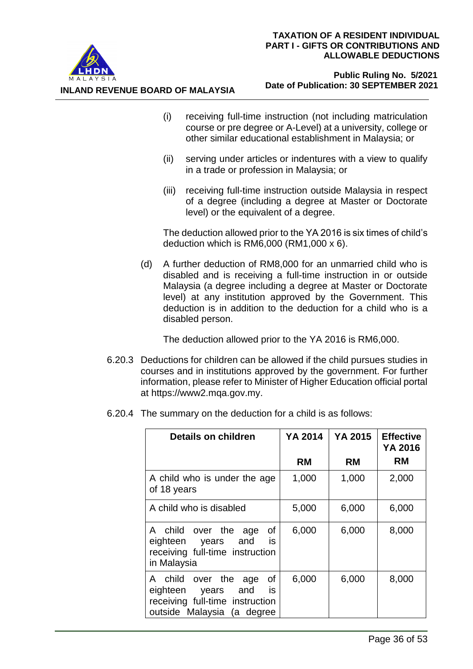

**INLAND REVENUE BOARD OF MALAYSIA**

#### **Public Ruling No. 5/2021 Date of Publication: 30 SEPTEMBER 2021**

- (i) receiving full-time instruction (not including matriculation course or pre degree or A-Level) at a university, college or other similar educational establishment in Malaysia; or
- (ii) serving under articles or indentures with a view to qualify in a trade or profession in Malaysia; or
- (iii) receiving full-time instruction outside Malaysia in respect of a degree (including a degree at Master or Doctorate level) or the equivalent of a degree.

The deduction allowed prior to the YA 2016 is six times of child's deduction which is RM6,000 (RM1,000 x 6).

(d) A further deduction of RM8,000 for an unmarried child who is disabled and is receiving a full-time instruction in or outside Malaysia (a degree including a degree at Master or Doctorate level) at any institution approved by the Government. This deduction is in addition to the deduction for a child who is a disabled person.

The deduction allowed prior to the YA 2016 is RM6,000.

- 6.20.3 Deductions for children can be allowed if the child pursues studies in courses and in institutions approved by the government. For further information, please refer to Minister of Higher Education official portal at [https://www2.mqa.gov.my.](https://www2.mqa.gov.my/)
- 6.20.4 The summary on the deduction for a child is as follows:

| <b>Details on children</b>                                                                                                 | YA 2014   | YA 2015   | <b>Effective</b><br>YA 2016 |
|----------------------------------------------------------------------------------------------------------------------------|-----------|-----------|-----------------------------|
|                                                                                                                            | <b>RM</b> | <b>RM</b> | <b>RM</b>                   |
| A child who is under the age<br>of 18 years                                                                                | 1,000     | 1,000     | 2,000                       |
| A child who is disabled                                                                                                    | 5,000     | 6,000     | 6,000                       |
| of<br>A child over the age<br>eighteen years and<br>is.<br>receiving full-time instruction<br>in Malaysia                  | 6,000     | 6,000     | 8,000                       |
| 0f<br>A child over the<br>age<br>is<br>eighteen years and<br>receiving full-time instruction<br>outside Malaysia (a degree | 6,000     | 6,000     | 8,000                       |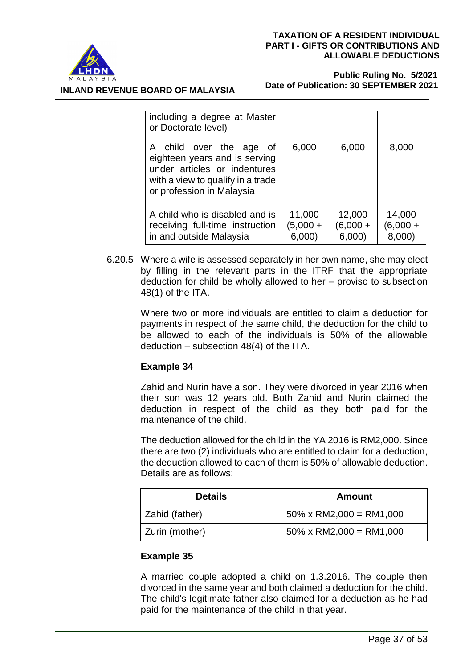

**INLAND REVENUE BOARD OF MALAYSIA**

#### **Public Ruling No. 5/2021 Date of Publication: 30 SEPTEMBER 2021**

| including a degree at Master<br>or Doctorate level)                                                                                                        |                                |                               |                                |
|------------------------------------------------------------------------------------------------------------------------------------------------------------|--------------------------------|-------------------------------|--------------------------------|
| A child over the age of<br>eighteen years and is serving<br>under articles or indentures<br>with a view to qualify in a trade<br>or profession in Malaysia | 6,000                          | 6,000                         | 8,000                          |
| A child who is disabled and is<br>receiving full-time instruction<br>in and outside Malaysia                                                               | 11,000<br>$(5,000 +$<br>6,000) | 12,000<br>$(6,000 +$<br>6,000 | 14,000<br>$(6,000 +$<br>8,000) |

6.20.5 Where a wife is assessed separately in her own name, she may elect by filling in the relevant parts in the ITRF that the appropriate deduction for child be wholly allowed to her – proviso to subsection 48(1) of the ITA.

> Where two or more individuals are entitled to claim a deduction for payments in respect of the same child, the deduction for the child to be allowed to each of the individuals is 50% of the allowable deduction – subsection 48(4) of the ITA.

# **Example 34**

Zahid and Nurin have a son. They were divorced in year 2016 when their son was 12 years old. Both Zahid and Nurin claimed the deduction in respect of the child as they both paid for the maintenance of the child.

The deduction allowed for the child in the YA 2016 is RM2,000. Since there are two (2) individuals who are entitled to claim for a deduction, the deduction allowed to each of them is 50% of allowable deduction. Details are as follows:

| <b>Details</b> | Amount                          |
|----------------|---------------------------------|
| Zahid (father) | $50\% \times RM2,000 = RM1,000$ |
| Zurin (mother) | $50\% \times RM2,000 = RM1,000$ |

# **Example 35**

A married couple adopted a child on 1.3.2016. The couple then divorced in the same year and both claimed a deduction for the child. The child's legitimate father also claimed for a deduction as he had paid for the maintenance of the child in that year.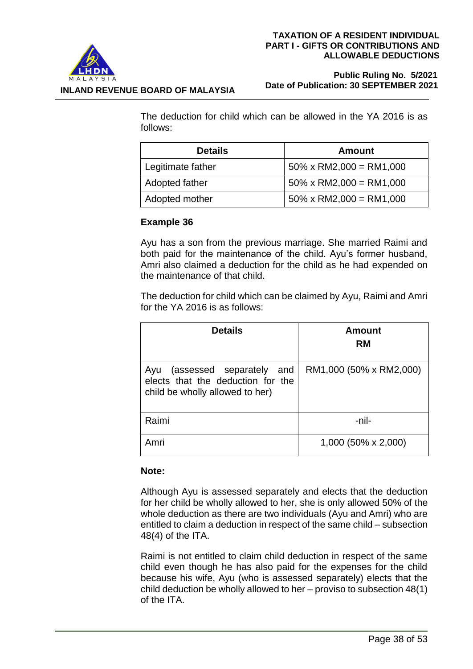

#### **Public Ruling No. 5/2021 Date of Publication: 30 SEPTEMBER 2021**

The deduction for child which can be allowed in the YA 2016 is as follows:

| <b>Details</b>    | Amount                          |
|-------------------|---------------------------------|
| Legitimate father | $50\% \times RM2,000 = RM1,000$ |
| Adopted father    | $50\% \times RM2,000 = RM1,000$ |
| Adopted mother    | $50\% \times RM2,000 = RM1,000$ |

# **Example 36**

Ayu has a son from the previous marriage. She married Raimi and both paid for the maintenance of the child. Ayu's former husband, Amri also claimed a deduction for the child as he had expended on the maintenance of that child.

The deduction for child which can be claimed by Ayu, Raimi and Amri for the YA 2016 is as follows:

| <b>Details</b>                                                                                          | Amount<br><b>RM</b>     |
|---------------------------------------------------------------------------------------------------------|-------------------------|
| (assessed separately and<br>Ayu<br>elects that the deduction for the<br>child be wholly allowed to her) | RM1,000 (50% x RM2,000) |
| Raimi                                                                                                   | -nil-                   |
| Amri                                                                                                    | 1,000 (50% x 2,000)     |

#### **Note:**

Although Ayu is assessed separately and elects that the deduction for her child be wholly allowed to her, she is only allowed 50% of the whole deduction as there are two individuals (Ayu and Amri) who are entitled to claim a deduction in respect of the same child – subsection 48(4) of the ITA.

Raimi is not entitled to claim child deduction in respect of the same child even though he has also paid for the expenses for the child because his wife, Ayu (who is assessed separately) elects that the child deduction be wholly allowed to her – proviso to subsection 48(1) of the ITA.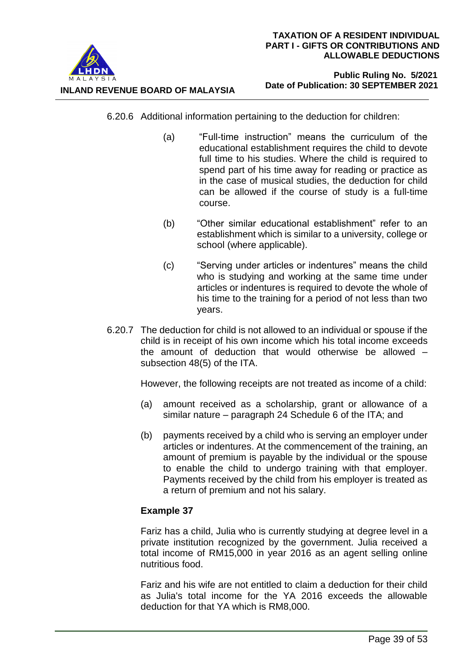

#### **Public Ruling No. 5/2021 Date of Publication: 30 SEPTEMBER 2021**

- 6.20.6 Additional information pertaining to the deduction for children:
	- (a) "Full-time instruction" means the curriculum of the educational establishment requires the child to devote full time to his studies. Where the child is required to spend part of his time away for reading or practice as in the case of musical studies, the deduction for child can be allowed if the course of study is a full-time course.
	- (b) "Other similar educational establishment" refer to an establishment which is similar to a university, college or school (where applicable).
	- (c) "Serving under articles or indentures" means the child who is studying and working at the same time under articles or indentures is required to devote the whole of his time to the training for a period of not less than two years.
- 6.20.7 The deduction for child is not allowed to an individual or spouse if the child is in receipt of his own income which his total income exceeds the amount of deduction that would otherwise be allowed – subsection 48(5) of the ITA.

However, the following receipts are not treated as income of a child:

- (a) amount received as a scholarship, grant or allowance of a similar nature – paragraph 24 Schedule 6 of the ITA; and
- (b) payments received by a child who is serving an employer under articles or indentures. At the commencement of the training, an amount of premium is payable by the individual or the spouse to enable the child to undergo training with that employer. Payments received by the child from his employer is treated as a return of premium and not his salary.

# **Example 37**

Fariz has a child, Julia who is currently studying at degree level in a private institution recognized by the government. Julia received a total income of RM15,000 in year 2016 as an agent selling online nutritious food.

Fariz and his wife are not entitled to claim a deduction for their child as Julia's total income for the YA 2016 exceeds the allowable deduction for that YA which is RM8,000.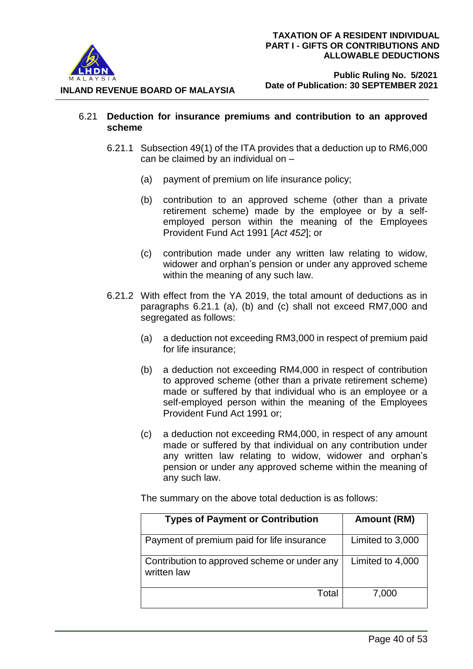

 **Public Ruling No. 5/2021 Date of Publication: 30 SEPTEMBER 2021**

- 6.21 **Deduction for insurance premiums and contribution to an approved scheme**
	- 6.21.1 Subsection 49(1) of the ITA provides that a deduction up to RM6,000 can be claimed by an individual on –
		- (a) payment of premium on life insurance policy;
		- (b) contribution to an approved scheme (other than a private retirement scheme) made by the employee or by a selfemployed person within the meaning of the Employees Provident Fund Act 1991 [*Act 452*]; or
		- (c) contribution made under any written law relating to widow, widower and orphan's pension or under any approved scheme within the meaning of any such law.
	- 6.21.2 With effect from the YA 2019, the total amount of deductions as in paragraphs 6.21.1 (a), (b) and (c) shall not exceed RM7,000 and segregated as follows:
		- (a) a deduction not exceeding RM3,000 in respect of premium paid for life insurance;
		- (b) a deduction not exceeding RM4,000 in respect of contribution to approved scheme (other than a private retirement scheme) made or suffered by that individual who is an employee or a self-employed person within the meaning of the Employees Provident Fund Act 1991 or;
		- (c) a deduction not exceeding RM4,000, in respect of any amount made or suffered by that individual on any contribution under any written law relating to widow, widower and orphan's pension or under any approved scheme within the meaning of any such law.

The summary on the above total deduction is as follows:

| <b>Types of Payment or Contribution</b>                     | Amount (RM)      |
|-------------------------------------------------------------|------------------|
| Payment of premium paid for life insurance                  | Limited to 3,000 |
| Contribution to approved scheme or under any<br>written law | Limited to 4,000 |
| Total                                                       | 7,000            |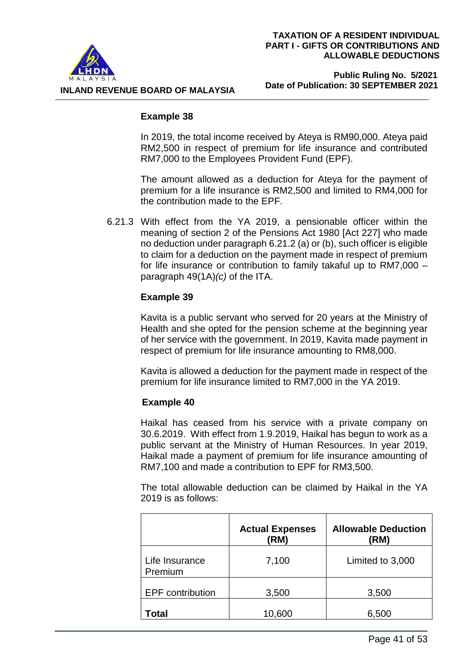

#### **Public Ruling No. 5/2021 Date of Publication: 30 SEPTEMBER 2021**

#### **Example 38**

In 2019, the total income received by Ateya is RM90,000. Ateya paid RM2,500 in respect of premium for life insurance and contributed RM7,000 to the Employees Provident Fund (EPF).

The amount allowed as a deduction for Ateya for the payment of premium for a life insurance is RM2,500 and limited to RM4,000 for the contribution made to the EPF.

6.21.3 With effect from the YA 2019, a pensionable officer within the meaning of section 2 of the Pensions Act 1980 [Act 227] who made no deduction under paragraph 6.21.2 (a) or (b), such officer is eligible to claim for a deduction on the payment made in respect of premium for life insurance or contribution to family takaful up to RM7,000 – paragraph 49(1A)*(c)* of the ITA.

# **Example 39**

Kavita is a public servant who served for 20 years at the Ministry of Health and she opted for the pension scheme at the beginning year of her service with the government. In 2019, Kavita made payment in respect of premium for life insurance amounting to RM8,000.

Kavita is allowed a deduction for the payment made in respect of the premium for life insurance limited to RM7,000 in the YA 2019.

# **Example 40**

Haikal has ceased from his service with a private company on 30.6.2019. With effect from 1.9.2019, Haikal has begun to work as a public servant at the Ministry of Human Resources. In year 2019, Haikal made a payment of premium for life insurance amounting of RM7,100 and made a contribution to EPF for RM3,500.

The total allowable deduction can be claimed by Haikal in the YA 2019 is as follows:

|                           | <b>Actual Expenses</b><br>(RM) | <b>Allowable Deduction</b><br>(RM) |
|---------------------------|--------------------------------|------------------------------------|
| Life Insurance<br>Premium | 7,100                          | Limited to 3,000                   |
| <b>EPF</b> contribution   | 3,500                          | 3,500                              |
| Total                     | 10,600                         | 6,500                              |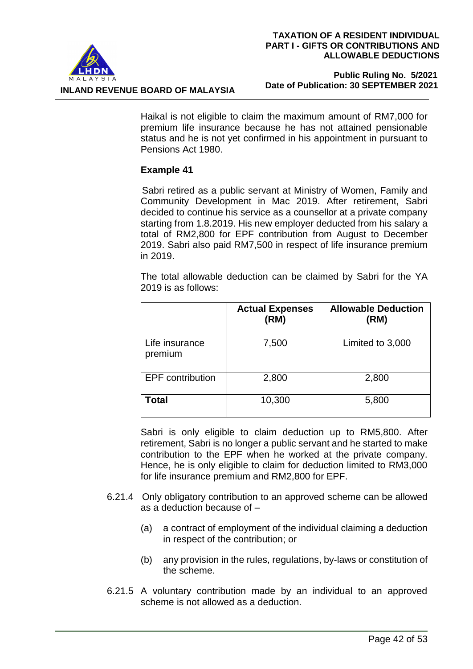

#### **Public Ruling No. 5/2021 Date of Publication: 30 SEPTEMBER 2021**

Haikal is not eligible to claim the maximum amount of RM7,000 for premium life insurance because he has not attained pensionable status and he is not yet confirmed in his appointment in pursuant to Pensions Act 1980.

# **Example 41**

Sabri retired as a public servant at Ministry of Women, Family and Community Development in Mac 2019. After retirement, Sabri decided to continue his service as a counsellor at a private company starting from 1.8.2019. His new employer deducted from his salary a total of RM2,800 for EPF contribution from August to December 2019. Sabri also paid RM7,500 in respect of life insurance premium in 2019.

The total allowable deduction can be claimed by Sabri for the YA 2019 is as follows:

| <b>Actual Expenses</b><br>(RM) |        | <b>Allowable Deduction</b><br>(RM) |
|--------------------------------|--------|------------------------------------|
| Life insurance<br>premium      | 7,500  | Limited to 3,000                   |
| <b>EPF</b> contribution        | 2,800  | 2,800                              |
| Total                          | 10,300 | 5,800                              |

Sabri is only eligible to claim deduction up to RM5,800. After retirement, Sabri is no longer a public servant and he started to make contribution to the EPF when he worked at the private company. Hence, he is only eligible to claim for deduction limited to RM3,000 for life insurance premium and RM2,800 for EPF.

- 6.21.4 Only obligatory contribution to an approved scheme can be allowed as a deduction because of –
	- (a) a contract of employment of the individual claiming a deduction in respect of the contribution; or
	- (b) any provision in the rules, regulations, by-laws or constitution of the scheme.
- 6.21.5 A voluntary contribution made by an individual to an approved scheme is not allowed as a deduction.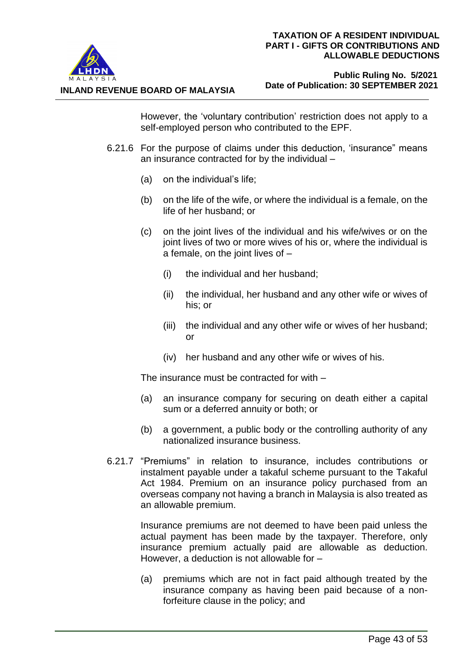

**INLAND REVENUE BOARD OF MALAYSIA**

#### **Public Ruling No. 5/2021 Date of Publication: 30 SEPTEMBER 2021**

However, the 'voluntary contribution' restriction does not apply to a self-employed person who contributed to the EPF.

- 6.21.6 For the purpose of claims under this deduction, 'insurance" means an insurance contracted for by the individual –
	- (a) on the individual's life;
	- (b) on the life of the wife, or where the individual is a female, on the life of her husband; or
	- (c) on the joint lives of the individual and his wife/wives or on the joint lives of two or more wives of his or, where the individual is a female, on the joint lives of –
		- (i) the individual and her husband;
		- (ii) the individual, her husband and any other wife or wives of his; or
		- (iii) the individual and any other wife or wives of her husband; or
		- (iv) her husband and any other wife or wives of his.

The insurance must be contracted for with –

- (a) an insurance company for securing on death either a capital sum or a deferred annuity or both; or
- (b) a government, a public body or the controlling authority of any nationalized insurance business.
- 6.21.7 "Premiums" in relation to insurance, includes contributions or instalment payable under a takaful scheme pursuant to the Takaful Act 1984. Premium on an insurance policy purchased from an overseas company not having a branch in Malaysia is also treated as an allowable premium.

Insurance premiums are not deemed to have been paid unless the actual payment has been made by the taxpayer. Therefore, only insurance premium actually paid are allowable as deduction. However, a deduction is not allowable for –

(a) premiums which are not in fact paid although treated by the insurance company as having been paid because of a nonforfeiture clause in the policy; and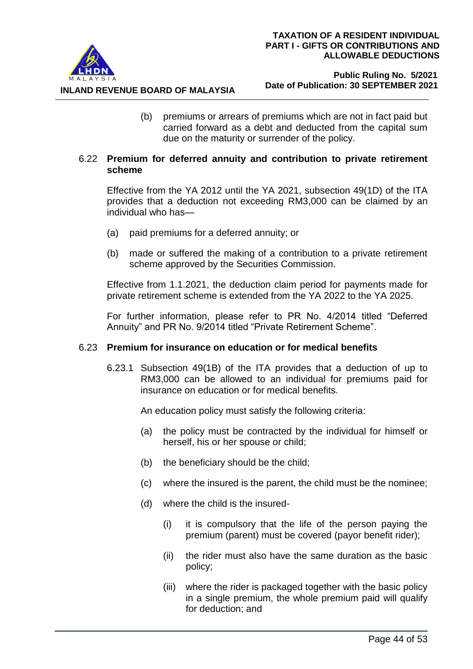

(b) premiums or arrears of premiums which are not in fact paid but carried forward as a debt and deducted from the capital sum due on the maturity or surrender of the policy.

## 6.22 **Premium for deferred annuity and contribution to private retirement scheme**

Effective from the YA 2012 until the YA 2021, subsection 49(1D) of the ITA provides that a deduction not exceeding RM3,000 can be claimed by an individual who has—

- (a) paid premiums for a deferred annuity; or
- (b) made or suffered the making of a contribution to a private retirement scheme approved by the Securities Commission.

Effective from 1.1.2021, the deduction claim period for payments made for private retirement scheme is extended from the YA 2022 to the YA 2025.

For further information, please refer to PR No. 4/2014 titled "Deferred Annuity" and PR No. 9/2014 titled "Private Retirement Scheme".

# 6.23 **Premium for insurance on education or for medical benefits**

6.23.1 Subsection 49(1B) of the ITA provides that a deduction of up to RM3,000 can be allowed to an individual for premiums paid for insurance on education or for medical benefits.

An education policy must satisfy the following criteria:

- (a) the policy must be contracted by the individual for himself or herself, his or her spouse or child;
- (b) the beneficiary should be the child;
- (c) where the insured is the parent, the child must be the nominee;
- (d) where the child is the insured-
	- (i) it is compulsory that the life of the person paying the premium (parent) must be covered (payor benefit rider);
	- (ii) the rider must also have the same duration as the basic policy;
	- (iii) where the rider is packaged together with the basic policy in a single premium, the whole premium paid will qualify for deduction; and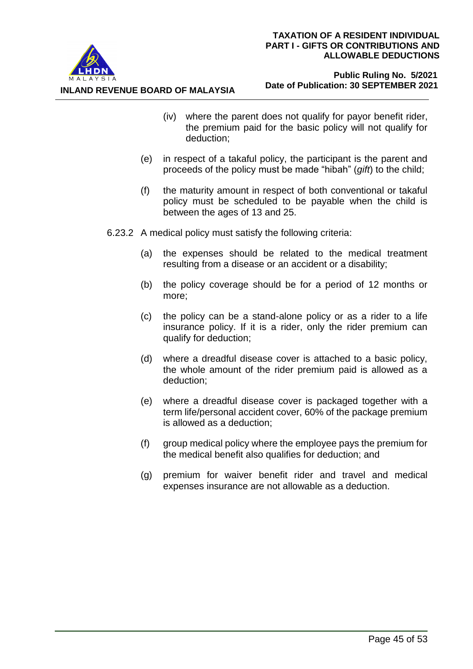

**INLAND REVENUE BOARD OF MALAYSIA**

- (iv) where the parent does not qualify for payor benefit rider, the premium paid for the basic policy will not qualify for deduction;
- (e) in respect of a takaful policy, the participant is the parent and proceeds of the policy must be made "hibah" (*gift*) to the child;
- (f) the maturity amount in respect of both conventional or takaful policy must be scheduled to be payable when the child is between the ages of 13 and 25.
- 6.23.2 A medical policy must satisfy the following criteria:
	- (a) the expenses should be related to the medical treatment resulting from a disease or an accident or a disability;
	- (b) the policy coverage should be for a period of 12 months or more;
	- (c) the policy can be a stand-alone policy or as a rider to a life insurance policy. If it is a rider, only the rider premium can qualify for deduction;
	- (d) where a dreadful disease cover is attached to a basic policy, the whole amount of the rider premium paid is allowed as a deduction;
	- (e) where a dreadful disease cover is packaged together with a term life/personal accident cover, 60% of the package premium is allowed as a deduction;
	- (f) group medical policy where the employee pays the premium for the medical benefit also qualifies for deduction; and
	- (g) premium for waiver benefit rider and travel and medical expenses insurance are not allowable as a deduction.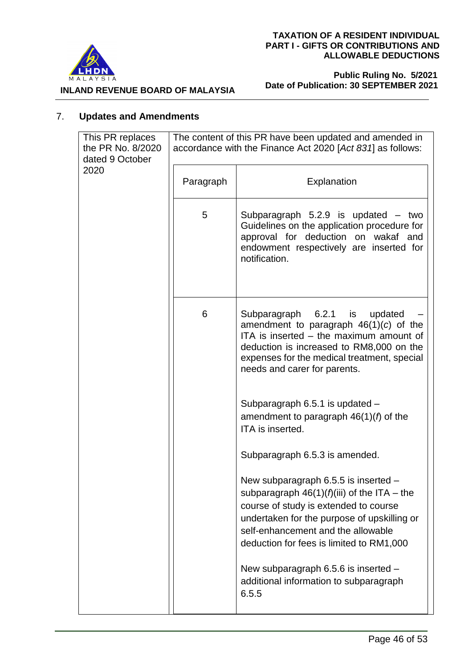

 **Public Ruling No. 5/2021 Date of Publication: 30 SEPTEMBER 2021**

**INLAND REVENUE BOARD OF MALAYSIA**

# 7. **Updates and Amendments**

| This PR replaces<br>the PR No. 8/2020<br>dated 9 October | The content of this PR have been updated and amended in<br>accordance with the Finance Act 2020 [Act 831] as follows: |                                                                                                                                                                                                                                                                 |
|----------------------------------------------------------|-----------------------------------------------------------------------------------------------------------------------|-----------------------------------------------------------------------------------------------------------------------------------------------------------------------------------------------------------------------------------------------------------------|
| 2020                                                     | Paragraph                                                                                                             | Explanation                                                                                                                                                                                                                                                     |
|                                                          | 5                                                                                                                     | Subparagraph $5.2.9$ is updated $-$ two<br>Guidelines on the application procedure for<br>approval for deduction on wakaf and<br>endowment respectively are inserted for<br>notification.                                                                       |
|                                                          | 6                                                                                                                     | Subparagraph 6.2.1 is<br>updated<br>amendment to paragraph $46(1)(c)$ of the<br>ITA is inserted – the maximum amount of<br>deduction is increased to RM8,000 on the<br>expenses for the medical treatment, special<br>needs and carer for parents.              |
|                                                          |                                                                                                                       | Subparagraph 6.5.1 is updated -<br>amendment to paragraph $46(1)(f)$ of the<br>ITA is inserted.                                                                                                                                                                 |
|                                                          |                                                                                                                       | Subparagraph 6.5.3 is amended.                                                                                                                                                                                                                                  |
|                                                          |                                                                                                                       | New subparagraph 6.5.5 is inserted -<br>subparagraph $46(1)(f)(iii)$ of the ITA – the<br>course of study is extended to course<br>undertaken for the purpose of upskilling or<br>self-enhancement and the allowable<br>deduction for fees is limited to RM1,000 |
|                                                          |                                                                                                                       | New subparagraph 6.5.6 is inserted -<br>additional information to subparagraph<br>6.5.5                                                                                                                                                                         |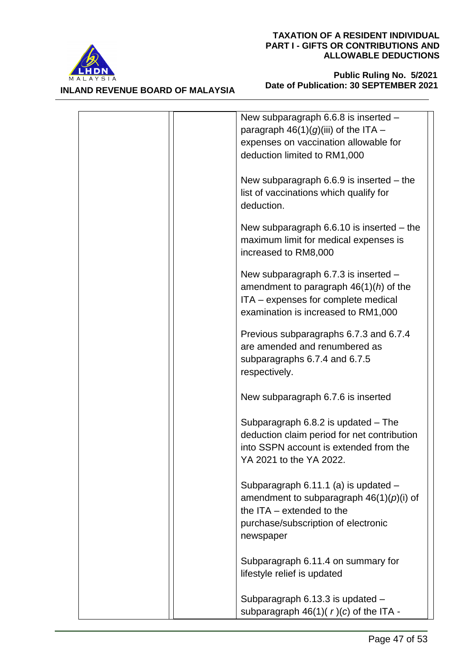

**INLAND REVENUE BOARD OF MALAYSIA**

| New subparagraph $6.6.8$ is inserted $-$<br>paragraph $46(1)(g)(iii)$ of the ITA -<br>expenses on vaccination allowable for<br>deduction limited to RM1,000           |
|-----------------------------------------------------------------------------------------------------------------------------------------------------------------------|
| New subparagraph $6.6.9$ is inserted $-$ the<br>list of vaccinations which qualify for<br>deduction.                                                                  |
| New subparagraph $6.6.10$ is inserted $-$ the<br>maximum limit for medical expenses is<br>increased to RM8,000                                                        |
| New subparagraph 6.7.3 is inserted $-$<br>amendment to paragraph $46(1)(h)$ of the<br>ITA - expenses for complete medical<br>examination is increased to RM1,000      |
| Previous subparagraphs 6.7.3 and 6.7.4<br>are amended and renumbered as<br>subparagraphs 6.7.4 and 6.7.5<br>respectively.                                             |
| New subparagraph 6.7.6 is inserted                                                                                                                                    |
| Subparagraph $6.8.2$ is updated $-$ The<br>deduction claim period for net contribution<br>into SSPN account is extended from the<br>YA 2021 to the YA 2022.           |
| Subparagraph 6.11.1 (a) is updated -<br>amendment to subparagraph $46(1)(p)(i)$ of<br>the $ITA - extended$ to the<br>purchase/subscription of electronic<br>newspaper |
| Subparagraph 6.11.4 on summary for<br>lifestyle relief is updated                                                                                                     |
| Subparagraph 6.13.3 is updated -<br>subparagraph $46(1)(r)(c)$ of the ITA -                                                                                           |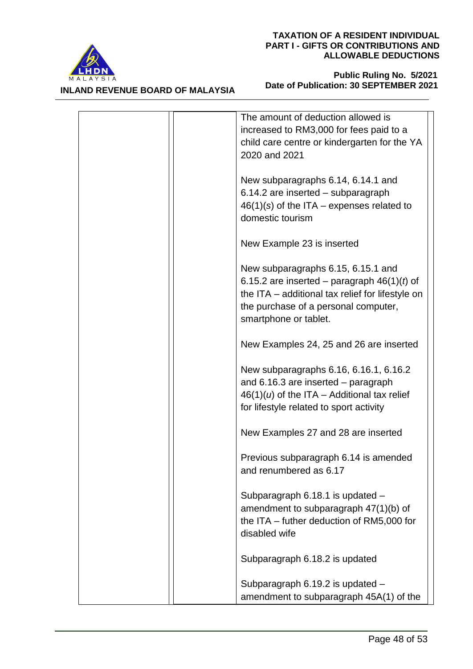



| The amount of deduction allowed is<br>increased to RM3,000 for fees paid to a<br>child care centre or kindergarten for the YA<br>2020 and 2021                                                           |
|----------------------------------------------------------------------------------------------------------------------------------------------------------------------------------------------------------|
| New subparagraphs 6.14, 6.14.1 and<br>6.14.2 are inserted - subparagraph<br>$46(1)(s)$ of the ITA – expenses related to<br>domestic tourism                                                              |
| New Example 23 is inserted                                                                                                                                                                               |
| New subparagraphs 6.15, 6.15.1 and<br>6.15.2 are inserted – paragraph $46(1)(t)$ of<br>the ITA – additional tax relief for lifestyle on<br>the purchase of a personal computer,<br>smartphone or tablet. |
| New Examples 24, 25 and 26 are inserted                                                                                                                                                                  |
| New subparagraphs 6.16, 6.16.1, 6.16.2<br>and $6.16.3$ are inserted $-$ paragraph<br>$46(1)(u)$ of the ITA - Additional tax relief<br>for lifestyle related to sport activity                            |
| New Examples 27 and 28 are inserted                                                                                                                                                                      |
| Previous subparagraph 6.14 is amended<br>and renumbered as 6.17                                                                                                                                          |
| Subparagraph 6.18.1 is updated -<br>amendment to subparagraph 47(1)(b) of<br>the ITA – futher deduction of RM5,000 for<br>disabled wife                                                                  |
| Subparagraph 6.18.2 is updated                                                                                                                                                                           |
| Subparagraph 6.19.2 is updated -<br>amendment to subparagraph 45A(1) of the                                                                                                                              |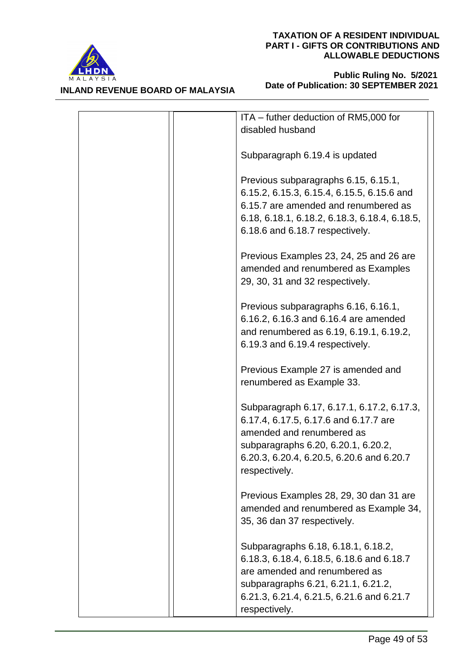



| ITA - futher deduction of RM5,000 for<br>disabled husband                                                                                                                                                              |
|------------------------------------------------------------------------------------------------------------------------------------------------------------------------------------------------------------------------|
| Subparagraph 6.19.4 is updated                                                                                                                                                                                         |
| Previous subparagraphs 6.15, 6.15.1,<br>6.15.2, 6.15.3, 6.15.4, 6.15.5, 6.15.6 and<br>6.15.7 are amended and renumbered as<br>6.18, 6.18.1, 6.18.2, 6.18.3, 6.18.4, 6.18.5,<br>6.18.6 and 6.18.7 respectively.         |
| Previous Examples 23, 24, 25 and 26 are<br>amended and renumbered as Examples<br>29, 30, 31 and 32 respectively.                                                                                                       |
| Previous subparagraphs 6.16, 6.16.1,<br>6.16.2, 6.16.3 and 6.16.4 are amended<br>and renumbered as 6.19, 6.19.1, 6.19.2,<br>6.19.3 and 6.19.4 respectively.                                                            |
| Previous Example 27 is amended and<br>renumbered as Example 33.                                                                                                                                                        |
| Subparagraph 6.17, 6.17.1, 6.17.2, 6.17.3,<br>6.17.4, 6.17.5, 6.17.6 and 6.17.7 are<br>amended and renumbered as<br>subparagraphs 6.20, 6.20.1, 6.20.2,<br>6.20.3, 6.20.4, 6.20.5, 6.20.6 and 6.20.7<br>respectively.  |
| Previous Examples 28, 29, 30 dan 31 are<br>amended and renumbered as Example 34,<br>35, 36 dan 37 respectively.                                                                                                        |
| Subparagraphs 6.18, 6.18.1, 6.18.2,<br>6.18.3, 6.18.4, 6.18.5, 6.18.6 and 6.18.7<br>are amended and renumbered as<br>subparagraphs 6.21, 6.21.1, 6.21.2,<br>6.21.3, 6.21.4, 6.21.5, 6.21.6 and 6.21.7<br>respectively. |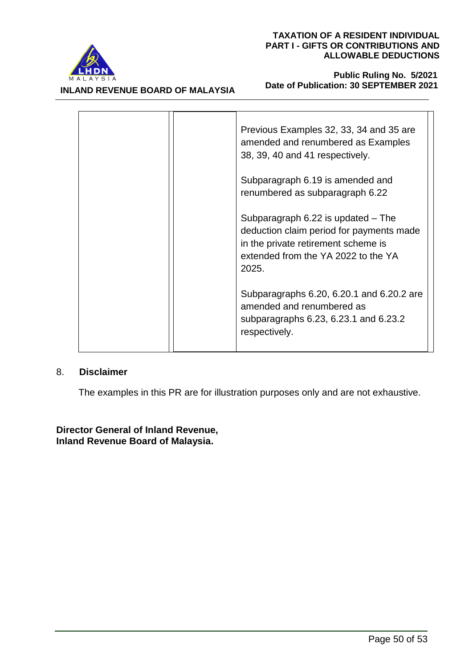

#### **INLAND REVENUE BOARD OF MALAYSIA**

#### **Public Ruling No. 5/2021 Date of Publication: 30 SEPTEMBER 2021**

|  | Previous Examples 32, 33, 34 and 35 are<br>amended and renumbered as Examples<br>38, 39, 40 and 41 respectively.                                                          |
|--|---------------------------------------------------------------------------------------------------------------------------------------------------------------------------|
|  | Subparagraph 6.19 is amended and<br>renumbered as subparagraph 6.22                                                                                                       |
|  | Subparagraph $6.22$ is updated $-$ The<br>deduction claim period for payments made<br>in the private retirement scheme is<br>extended from the YA 2022 to the YA<br>2025. |
|  | Subparagraphs 6.20, 6.20.1 and 6.20.2 are<br>amended and renumbered as<br>subparagraphs 6.23, 6.23.1 and 6.23.2<br>respectively.                                          |

# 8. **Disclaimer**

The examples in this PR are for illustration purposes only and are not exhaustive.

# **Director General of Inland Revenue, Inland Revenue Board of Malaysia.**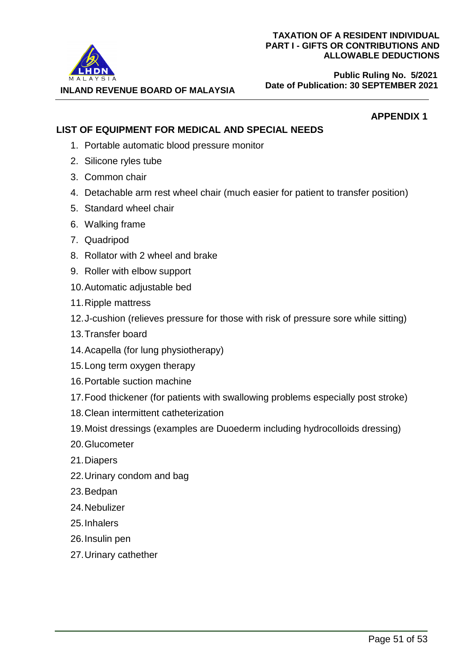**Public Ruling No. 5/2021 Date of Publication: 30 SEPTEMBER 2021**

**APPENDIX 1**

**INLAND REVENUE BOARD OF MALAYSIA**

# **LIST OF EQUIPMENT FOR MEDICAL AND SPECIAL NEEDS**

- 1. Portable automatic blood pressure monitor
- 2. Silicone ryles tube
- 3. Common chair
- 4. Detachable arm rest wheel chair (much easier for patient to transfer position)
- 5. Standard wheel chair
- 6. Walking frame
- 7. Quadripod
- 8. Rollator with 2 wheel and brake
- 9. Roller with elbow support
- 10.Automatic adjustable bed
- 11.Ripple mattress
- 12.J-cushion (relieves pressure for those with risk of pressure sore while sitting)
- 13.Transfer board
- 14.Acapella (for lung physiotherapy)
- 15.Long term oxygen therapy
- 16.Portable suction machine
- 17.Food thickener (for patients with swallowing problems especially post stroke)
- 18.Clean intermittent catheterization
- 19.Moist dressings (examples are Duoederm including hydrocolloids dressing)
- 20.Glucometer
- 21.Diapers
- 22.Urinary condom and bag
- 23.Bedpan
- 24.Nebulizer
- 25.Inhalers
- 26.Insulin pen
- 27.Urinary cathether

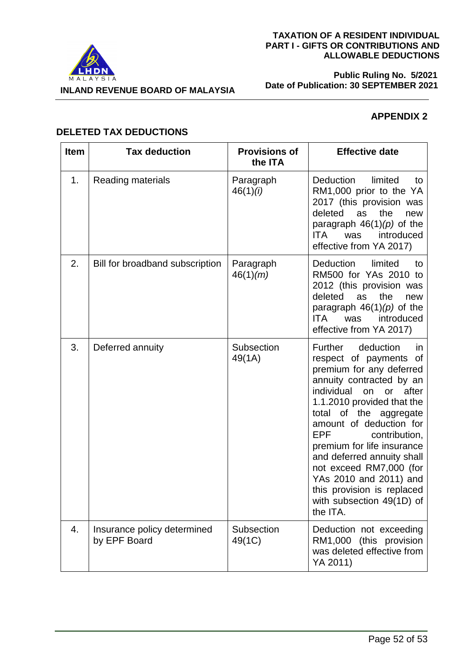



#### **Public Ruling No. 5/2021 Date of Publication: 30 SEPTEMBER 2021**

# **APPENDIX 2**

# **DELETED TAX DEDUCTIONS**

| <b>Item</b> | <b>Tax deduction</b>                        | <b>Provisions of</b><br>the ITA | <b>Effective date</b>                                                                                                                                                                                                                                                                                                                                                                                                                                         |
|-------------|---------------------------------------------|---------------------------------|---------------------------------------------------------------------------------------------------------------------------------------------------------------------------------------------------------------------------------------------------------------------------------------------------------------------------------------------------------------------------------------------------------------------------------------------------------------|
| 1.          | Reading materials                           | Paragraph<br>46(1)(i)           | <b>Deduction</b><br>limited<br>to<br>RM1,000 prior to the YA<br>2017 (this provision was<br>deleted<br>the<br>as<br>new<br>paragraph $46(1)(p)$ of the<br>introduced<br>ITA.<br>was<br>effective from YA 2017)                                                                                                                                                                                                                                                |
| 2.          | Bill for broadband subscription             | Paragraph<br>46(1)(m)           | <b>Deduction</b><br>limited<br>to<br>RM500 for YAs 2010 to<br>2012 (this provision was<br>deleted<br>the<br>as<br>new<br>paragraph $46(1)(p)$ of the<br>introduced<br>ITA.<br>was<br>effective from YA 2017)                                                                                                                                                                                                                                                  |
| 3.          | Deferred annuity                            | Subsection<br>49(1A)            | Further<br>deduction<br><i>in</i><br>respect of payments of<br>premium for any deferred<br>annuity contracted by an<br>individual<br>after<br>on or<br>1.1.2010 provided that the<br>total of the aggregate<br>amount of deduction for<br><b>EPF</b><br>contribution,<br>premium for life insurance<br>and deferred annuity shall<br>not exceed RM7,000 (for<br>YAs 2010 and 2011) and<br>this provision is replaced<br>with subsection 49(1D) of<br>the ITA. |
| 4.          | Insurance policy determined<br>by EPF Board | Subsection<br>49(1C)            | Deduction not exceeding<br>RM1,000 (this provision<br>was deleted effective from<br>YA 2011)                                                                                                                                                                                                                                                                                                                                                                  |